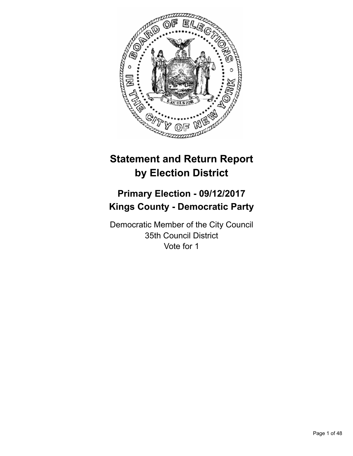

# **Statement and Return Report by Election District**

# **Primary Election - 09/12/2017 Kings County - Democratic Party**

Democratic Member of the City Council 35th Council District Vote for 1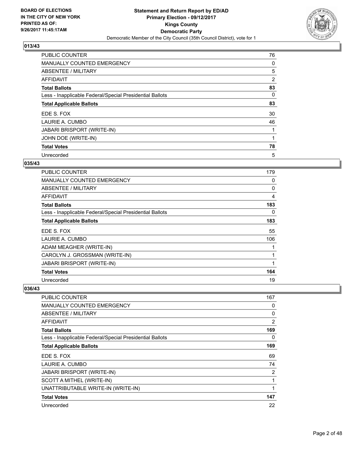

| <b>PUBLIC COUNTER</b>                                    | 76             |
|----------------------------------------------------------|----------------|
| <b>MANUALLY COUNTED EMERGENCY</b>                        | 0              |
| ABSENTEE / MILITARY                                      | 5              |
| AFFIDAVIT                                                | $\overline{2}$ |
| <b>Total Ballots</b>                                     | 83             |
| Less - Inapplicable Federal/Special Presidential Ballots | 0              |
| <b>Total Applicable Ballots</b>                          | 83             |
| EDE S. FOX                                               | 30             |
| LAURIE A. CUMBO                                          | 46             |
| <b>JABARI BRISPORT (WRITE-IN)</b>                        |                |
| JOHN DOE (WRITE-IN)                                      |                |
| <b>Total Votes</b>                                       | 78             |
| Unrecorded                                               | 5              |

## **035/43**

| <b>PUBLIC COUNTER</b>                                    | 179 |
|----------------------------------------------------------|-----|
| <b>MANUALLY COUNTED EMERGENCY</b>                        | 0   |
| ABSENTEE / MILITARY                                      | 0   |
| <b>AFFIDAVIT</b>                                         | 4   |
| <b>Total Ballots</b>                                     | 183 |
| Less - Inapplicable Federal/Special Presidential Ballots | 0   |
| <b>Total Applicable Ballots</b>                          | 183 |
| EDE S. FOX                                               | 55  |
| LAURIE A. CUMBO                                          | 106 |
| ADAM MEAGHER (WRITE-IN)                                  |     |
| CAROLYN J. GROSSMAN (WRITE-IN)                           | 1   |
| <b>JABARI BRISPORT (WRITE-IN)</b>                        |     |
| <b>Total Votes</b>                                       | 164 |
| Unrecorded                                               | 19  |

| <b>PUBLIC COUNTER</b>                                    | 167 |
|----------------------------------------------------------|-----|
| <b>MANUALLY COUNTED EMERGENCY</b>                        | 0   |
| ABSENTEE / MILITARY                                      | 0   |
| AFFIDAVIT                                                | 2   |
| <b>Total Ballots</b>                                     | 169 |
| Less - Inapplicable Federal/Special Presidential Ballots | 0   |
| <b>Total Applicable Ballots</b>                          | 169 |
| EDE S. FOX                                               | 69  |
| LAURIE A. CUMBO                                          | 74  |
| <b>JABARI BRISPORT (WRITE-IN)</b>                        | 2   |
| SCOTT A MITHEL (WRITE-IN)                                | 1   |
| UNATTRIBUTABLE WRITE-IN (WRITE-IN)                       |     |
| <b>Total Votes</b>                                       | 147 |
| Unrecorded                                               | 22  |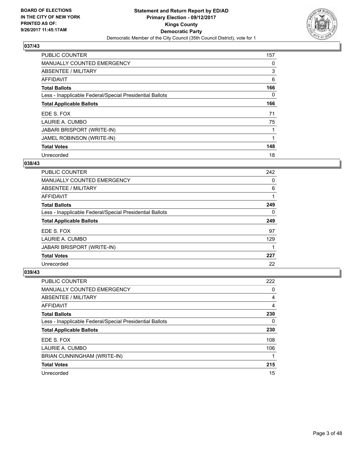

| <b>PUBLIC COUNTER</b>                                    | 157 |
|----------------------------------------------------------|-----|
| MANUALLY COUNTED EMERGENCY                               | 0   |
| ABSENTEE / MILITARY                                      | 3   |
| <b>AFFIDAVIT</b>                                         | 6   |
| <b>Total Ballots</b>                                     | 166 |
| Less - Inapplicable Federal/Special Presidential Ballots | 0   |
| <b>Total Applicable Ballots</b>                          | 166 |
| EDE S. FOX                                               | 71  |
| LAURIE A. CUMBO                                          | 75  |
| <b>JABARI BRISPORT (WRITE-IN)</b>                        |     |
| JAMEL ROBINSON (WRITE-IN)                                |     |
| <b>Total Votes</b>                                       | 148 |
| Unrecorded                                               | 18  |

#### **038/43**

| <b>PUBLIC COUNTER</b>                                    | 242 |
|----------------------------------------------------------|-----|
| <b>MANUALLY COUNTED EMERGENCY</b>                        | 0   |
| ABSENTEE / MILITARY                                      | 6   |
| AFFIDAVIT                                                |     |
| <b>Total Ballots</b>                                     | 249 |
| Less - Inapplicable Federal/Special Presidential Ballots | 0   |
| <b>Total Applicable Ballots</b>                          | 249 |
| EDE S. FOX                                               | 97  |
| LAURIE A. CUMBO                                          | 129 |
| <b>JABARI BRISPORT (WRITE-IN)</b>                        |     |
| <b>Total Votes</b>                                       | 227 |
| Unrecorded                                               | 22  |

| <b>PUBLIC COUNTER</b>                                    | 222 |
|----------------------------------------------------------|-----|
| <b>MANUALLY COUNTED EMERGENCY</b>                        | 0   |
| ABSENTEE / MILITARY                                      | 4   |
| <b>AFFIDAVIT</b>                                         | 4   |
| <b>Total Ballots</b>                                     | 230 |
| Less - Inapplicable Federal/Special Presidential Ballots | 0   |
| <b>Total Applicable Ballots</b>                          | 230 |
| EDE S. FOX                                               | 108 |
| LAURIE A. CUMBO                                          | 106 |
| BRIAN CUNNINGHAM (WRITE-IN)                              |     |
| <b>Total Votes</b>                                       | 215 |
| Unrecorded                                               | 15  |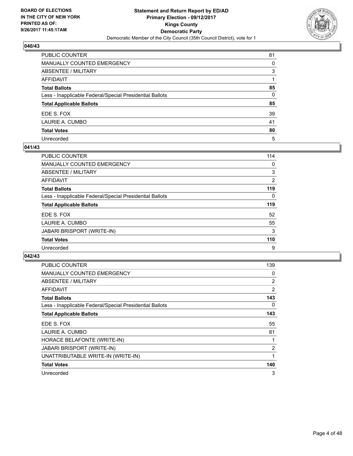

| PUBLIC COUNTER                                           | 81           |
|----------------------------------------------------------|--------------|
| <b>MANUALLY COUNTED EMERGENCY</b>                        | 0            |
| ABSENTEE / MILITARY                                      | 3            |
| AFFIDAVIT                                                |              |
| <b>Total Ballots</b>                                     | 85           |
| Less - Inapplicable Federal/Special Presidential Ballots | $\mathbf{0}$ |
| <b>Total Applicable Ballots</b>                          | 85           |
| EDE S. FOX                                               | 39           |
| LAURIE A. CUMBO                                          | 41           |
| <b>Total Votes</b>                                       | 80           |
| Unrecorded                                               | 5            |

#### **041/43**

| <b>PUBLIC COUNTER</b>                                    | 114            |
|----------------------------------------------------------|----------------|
| <b>MANUALLY COUNTED EMERGENCY</b>                        | 0              |
| ABSENTEE / MILITARY                                      | 3              |
| AFFIDAVIT                                                | $\overline{2}$ |
| <b>Total Ballots</b>                                     | 119            |
| Less - Inapplicable Federal/Special Presidential Ballots | 0              |
| <b>Total Applicable Ballots</b>                          | 119            |
| EDE S. FOX                                               | 52             |
| LAURIE A. CUMBO                                          | 55             |
| <b>JABARI BRISPORT (WRITE-IN)</b>                        | 3              |
| <b>Total Votes</b>                                       | 110            |
| Unrecorded                                               | 9              |

| <b>PUBLIC COUNTER</b>                                    | 139            |
|----------------------------------------------------------|----------------|
| <b>MANUALLY COUNTED EMERGENCY</b>                        | 0              |
| ABSENTEE / MILITARY                                      | $\overline{2}$ |
| AFFIDAVIT                                                | $\overline{2}$ |
| <b>Total Ballots</b>                                     | 143            |
| Less - Inapplicable Federal/Special Presidential Ballots | 0              |
| <b>Total Applicable Ballots</b>                          | 143            |
| EDE S. FOX                                               | 55             |
|                                                          |                |
| LAURIE A. CUMBO                                          | 81             |
| HORACE BELAFONTE (WRITE-IN)                              |                |
| <b>JABARI BRISPORT (WRITE-IN)</b>                        | $\overline{2}$ |
| UNATTRIBUTABLE WRITE-IN (WRITE-IN)                       |                |
| <b>Total Votes</b>                                       | 140            |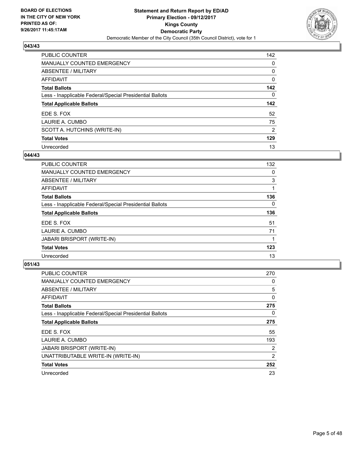

| PUBLIC COUNTER                                           | 142            |
|----------------------------------------------------------|----------------|
| <b>MANUALLY COUNTED EMERGENCY</b>                        | 0              |
| ABSENTEE / MILITARY                                      | 0              |
| AFFIDAVIT                                                | 0              |
| <b>Total Ballots</b>                                     | 142            |
| Less - Inapplicable Federal/Special Presidential Ballots | 0              |
| <b>Total Applicable Ballots</b>                          | 142            |
| EDE S. FOX                                               | 52             |
| LAURIE A. CUMBO                                          | 75             |
| SCOTT A. HUTCHINS (WRITE-IN)                             | $\overline{2}$ |
| <b>Total Votes</b>                                       | 129            |
|                                                          |                |

### **044/43**

| <b>PUBLIC COUNTER</b>                                    | 132 |
|----------------------------------------------------------|-----|
| MANUALLY COUNTED EMERGENCY                               | 0   |
| ABSENTEE / MILITARY                                      | 3   |
| <b>AFFIDAVIT</b>                                         |     |
| <b>Total Ballots</b>                                     | 136 |
| Less - Inapplicable Federal/Special Presidential Ballots | 0   |
| <b>Total Applicable Ballots</b>                          | 136 |
| EDE S. FOX                                               | 51  |
| LAURIE A. CUMBO                                          | 71  |
| <b>JABARI BRISPORT (WRITE-IN)</b>                        |     |
| <b>Total Votes</b>                                       | 123 |
| Unrecorded                                               | 13  |

| <b>PUBLIC COUNTER</b>                                    | 270 |
|----------------------------------------------------------|-----|
| MANUALLY COUNTED EMERGENCY                               | 0   |
| ABSENTEE / MILITARY                                      | 5   |
| AFFIDAVIT                                                | 0   |
| <b>Total Ballots</b>                                     | 275 |
| Less - Inapplicable Federal/Special Presidential Ballots | 0   |
| <b>Total Applicable Ballots</b>                          | 275 |
| EDE S. FOX                                               | 55  |
| LAURIE A. CUMBO                                          | 193 |
| <b>JABARI BRISPORT (WRITE-IN)</b>                        | 2   |
| UNATTRIBUTABLE WRITE-IN (WRITE-IN)                       | 2   |
| <b>Total Votes</b>                                       | 252 |
| Unrecorded                                               | 23  |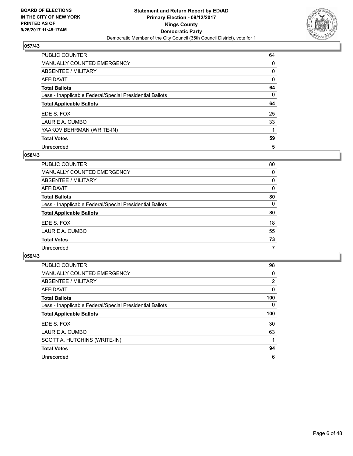

| <b>PUBLIC COUNTER</b>                                    | 64 |
|----------------------------------------------------------|----|
| <b>MANUALLY COUNTED EMERGENCY</b>                        | 0  |
| ABSENTEE / MILITARY                                      | 0  |
| AFFIDAVIT                                                | 0  |
| <b>Total Ballots</b>                                     | 64 |
| Less - Inapplicable Federal/Special Presidential Ballots | 0  |
| <b>Total Applicable Ballots</b>                          | 64 |
| EDE S. FOX                                               | 25 |
| LAURIE A. CUMBO                                          | 33 |
| YAAKOV BEHRMAN (WRITE-IN)                                |    |
| <b>Total Votes</b>                                       | 59 |
| Unrecorded                                               | 5  |

#### **058/43**

| <b>PUBLIC COUNTER</b>                                    | 80 |
|----------------------------------------------------------|----|
| <b>MANUALLY COUNTED EMERGENCY</b>                        | 0  |
| ABSENTEE / MILITARY                                      | 0  |
| AFFIDAVIT                                                | 0  |
| <b>Total Ballots</b>                                     | 80 |
| Less - Inapplicable Federal/Special Presidential Ballots | 0  |
| <b>Total Applicable Ballots</b>                          | 80 |
| EDE S. FOX                                               | 18 |
| LAURIE A. CUMBO                                          | 55 |
| <b>Total Votes</b>                                       | 73 |
| Unrecorded                                               | 7  |

| <b>PUBLIC COUNTER</b>                                    | 98             |
|----------------------------------------------------------|----------------|
| <b>MANUALLY COUNTED EMERGENCY</b>                        | 0              |
| ABSENTEE / MILITARY                                      | $\overline{2}$ |
| AFFIDAVIT                                                | 0              |
| <b>Total Ballots</b>                                     | 100            |
| Less - Inapplicable Federal/Special Presidential Ballots | $\Omega$       |
| <b>Total Applicable Ballots</b>                          | 100            |
| EDE S. FOX                                               | 30             |
| LAURIE A. CUMBO                                          | 63             |
| SCOTT A. HUTCHINS (WRITE-IN)                             |                |
| <b>Total Votes</b>                                       | 94             |
| Unrecorded                                               | 6              |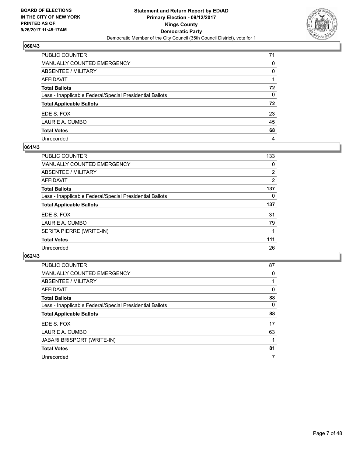

| PUBLIC COUNTER                                           | 71           |
|----------------------------------------------------------|--------------|
| MANUALLY COUNTED EMERGENCY                               | 0            |
| <b>ABSENTEE / MILITARY</b>                               | $\mathbf{0}$ |
| <b>AFFIDAVIT</b>                                         |              |
| <b>Total Ballots</b>                                     | 72           |
| Less - Inapplicable Federal/Special Presidential Ballots | $\mathbf{0}$ |
| <b>Total Applicable Ballots</b>                          | 72           |
| EDE S. FOX                                               | 23           |
| LAURIE A. CUMBO                                          | 45           |
| <b>Total Votes</b>                                       | 68           |
| Unrecorded                                               | 4            |

#### **061/43**

| <b>PUBLIC COUNTER</b>                                    | 133            |
|----------------------------------------------------------|----------------|
| <b>MANUALLY COUNTED EMERGENCY</b>                        | 0              |
| ABSENTEE / MILITARY                                      | $\overline{2}$ |
| AFFIDAVIT                                                | 2              |
| <b>Total Ballots</b>                                     | 137            |
| Less - Inapplicable Federal/Special Presidential Ballots | 0              |
| <b>Total Applicable Ballots</b>                          | 137            |
| EDE S. FOX                                               | 31             |
| LAURIE A. CUMBO                                          | 79             |
| SERITA PIERRE (WRITE-IN)                                 |                |
| <b>Total Votes</b>                                       | 111            |
| Unrecorded                                               | 26             |

| <b>PUBLIC COUNTER</b>                                    | 87       |
|----------------------------------------------------------|----------|
| MANUALLY COUNTED EMERGENCY                               | 0        |
| ABSENTEE / MILITARY                                      |          |
| AFFIDAVIT                                                | $\Omega$ |
| <b>Total Ballots</b>                                     | 88       |
| Less - Inapplicable Federal/Special Presidential Ballots | $\Omega$ |
| <b>Total Applicable Ballots</b>                          | 88       |
| EDE S. FOX                                               | 17       |
| LAURIE A. CUMBO                                          | 63       |
| <b>JABARI BRISPORT (WRITE-IN)</b>                        |          |
| <b>Total Votes</b>                                       | 81       |
| Unrecorded                                               | 7        |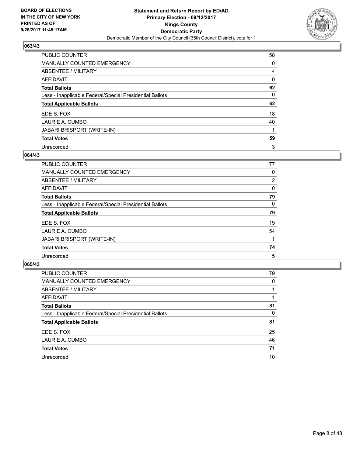

| PUBLIC COUNTER                                           | 58 |
|----------------------------------------------------------|----|
| <b>MANUALLY COUNTED EMERGENCY</b>                        | 0  |
| ABSENTEE / MILITARY                                      | 4  |
| AFFIDAVIT                                                | 0  |
| <b>Total Ballots</b>                                     | 62 |
| Less - Inapplicable Federal/Special Presidential Ballots | 0  |
| <b>Total Applicable Ballots</b>                          | 62 |
| EDE S. FOX                                               | 18 |
| LAURIE A. CUMBO                                          | 40 |
| <b>JABARI BRISPORT (WRITE-IN)</b>                        |    |
| <b>Total Votes</b>                                       | 59 |
| Unrecorded                                               | 3  |

#### **064/43**

| <b>PUBLIC COUNTER</b>                                    | 77             |
|----------------------------------------------------------|----------------|
| MANUALLY COUNTED EMERGENCY                               | 0              |
| ABSENTEE / MILITARY                                      | $\overline{2}$ |
| <b>AFFIDAVIT</b>                                         | 0              |
| <b>Total Ballots</b>                                     | 79             |
| Less - Inapplicable Federal/Special Presidential Ballots | 0              |
| <b>Total Applicable Ballots</b>                          | 79             |
| EDE S. FOX                                               | 19             |
| LAURIE A. CUMBO                                          | 54             |
| <b>JABARI BRISPORT (WRITE-IN)</b>                        |                |
| <b>Total Votes</b>                                       | 74             |
| Unrecorded                                               | 5              |

| <b>PUBLIC COUNTER</b>                                    | 79 |
|----------------------------------------------------------|----|
| MANUALLY COUNTED EMERGENCY                               | 0  |
| ABSENTEE / MILITARY                                      |    |
| AFFIDAVIT                                                |    |
| <b>Total Ballots</b>                                     | 81 |
| Less - Inapplicable Federal/Special Presidential Ballots | 0  |
| <b>Total Applicable Ballots</b>                          | 81 |
| EDE S. FOX                                               | 25 |
| LAURIE A. CUMBO                                          | 46 |
| <b>Total Votes</b>                                       | 71 |
| Unrecorded                                               | 10 |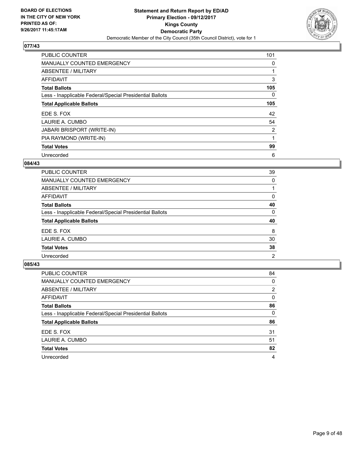

| <b>PUBLIC COUNTER</b>                                    | 101            |
|----------------------------------------------------------|----------------|
| <b>MANUALLY COUNTED EMERGENCY</b>                        | 0              |
| ABSENTEE / MILITARY                                      |                |
| AFFIDAVIT                                                | 3              |
| <b>Total Ballots</b>                                     | 105            |
| Less - Inapplicable Federal/Special Presidential Ballots | 0              |
| <b>Total Applicable Ballots</b>                          | 105            |
| EDE S. FOX                                               | 42             |
| LAURIE A. CUMBO                                          | 54             |
| <b>JABARI BRISPORT (WRITE-IN)</b>                        | $\overline{2}$ |
| PIA RAYMOND (WRITE-IN)                                   |                |
| <b>Total Votes</b>                                       | 99             |
| Unrecorded                                               | 6              |

## **084/43**

| <b>PUBLIC COUNTER</b>                                    | 39             |
|----------------------------------------------------------|----------------|
| <b>MANUALLY COUNTED EMERGENCY</b>                        | 0              |
| ABSENTEE / MILITARY                                      |                |
| <b>AFFIDAVIT</b>                                         | 0              |
| <b>Total Ballots</b>                                     | 40             |
| Less - Inapplicable Federal/Special Presidential Ballots | 0              |
| <b>Total Applicable Ballots</b>                          | 40             |
| EDE S. FOX                                               | 8              |
| LAURIE A. CUMBO                                          | 30             |
| <b>Total Votes</b>                                       | 38             |
| Unrecorded                                               | $\overline{2}$ |

| <b>PUBLIC COUNTER</b>                                    | 84 |
|----------------------------------------------------------|----|
| MANUALLY COUNTED EMERGENCY                               | 0  |
| ABSENTEE / MILITARY                                      | 2  |
| AFFIDAVIT                                                | 0  |
| <b>Total Ballots</b>                                     | 86 |
| Less - Inapplicable Federal/Special Presidential Ballots | 0  |
| <b>Total Applicable Ballots</b>                          | 86 |
| EDE S. FOX                                               | 31 |
| LAURIE A. CUMBO                                          | 51 |
| <b>Total Votes</b>                                       | 82 |
| Unrecorded                                               | 4  |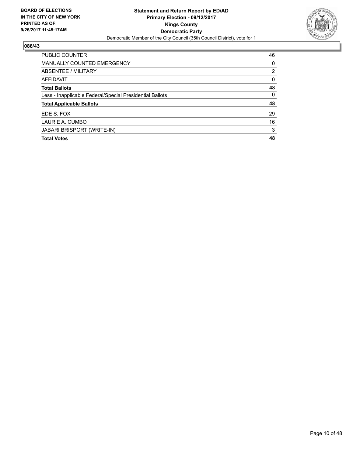

| <b>PUBLIC COUNTER</b>                                    | 46             |
|----------------------------------------------------------|----------------|
| <b>MANUALLY COUNTED EMERGENCY</b>                        | 0              |
| ABSENTEE / MILITARY                                      | $\overline{2}$ |
| <b>AFFIDAVIT</b>                                         | 0              |
| <b>Total Ballots</b>                                     | 48             |
| Less - Inapplicable Federal/Special Presidential Ballots | 0              |
| <b>Total Applicable Ballots</b>                          | 48             |
| EDE S. FOX                                               | 29             |
| LAURIE A. CUMBO                                          | 16             |
| <b>JABARI BRISPORT (WRITE-IN)</b>                        | 3              |
| <b>Total Votes</b>                                       | 48             |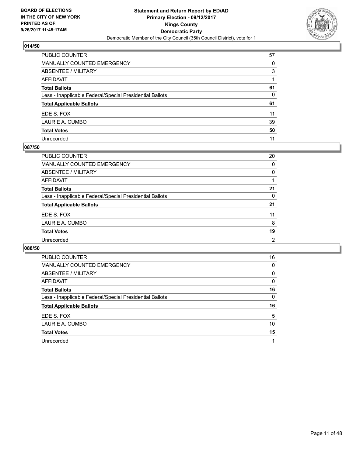

| PUBLIC COUNTER                                           | 57 |
|----------------------------------------------------------|----|
| MANUALLY COUNTED EMERGENCY                               | 0  |
| <b>ABSENTEE / MILITARY</b>                               | 3  |
| <b>AFFIDAVIT</b>                                         |    |
| <b>Total Ballots</b>                                     | 61 |
| Less - Inapplicable Federal/Special Presidential Ballots | 0  |
| <b>Total Applicable Ballots</b>                          | 61 |
| EDE S. FOX                                               | 11 |
| LAURIE A. CUMBO                                          | 39 |
| <b>Total Votes</b>                                       | 50 |
| Unrecorded                                               | 11 |

#### **087/50**

| <b>PUBLIC COUNTER</b>                                    | 20 |
|----------------------------------------------------------|----|
| MANUALLY COUNTED EMERGENCY                               | 0  |
| ABSENTEE / MILITARY                                      | 0  |
| AFFIDAVIT                                                |    |
| <b>Total Ballots</b>                                     | 21 |
| Less - Inapplicable Federal/Special Presidential Ballots | 0  |
| <b>Total Applicable Ballots</b>                          | 21 |
| EDE S. FOX                                               | 11 |
| LAURIE A. CUMBO                                          | 8  |
| <b>Total Votes</b>                                       | 19 |
| Unrecorded                                               | 2  |

| <b>PUBLIC COUNTER</b>                                    | 16 |
|----------------------------------------------------------|----|
| <b>MANUALLY COUNTED EMERGENCY</b>                        | 0  |
| ABSENTEE / MILITARY                                      | 0  |
| <b>AFFIDAVIT</b>                                         | 0  |
| <b>Total Ballots</b>                                     | 16 |
| Less - Inapplicable Federal/Special Presidential Ballots | 0  |
| <b>Total Applicable Ballots</b>                          | 16 |
|                                                          |    |
| EDE S. FOX                                               | 5  |
| LAURIE A. CUMBO                                          | 10 |
| <b>Total Votes</b>                                       | 15 |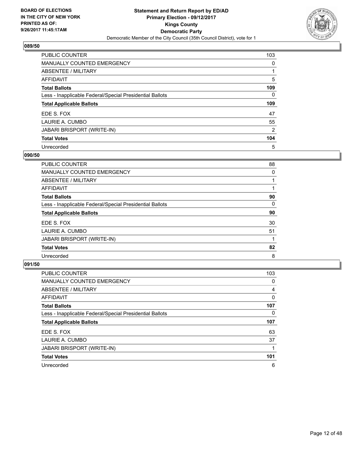

| <b>PUBLIC COUNTER</b>                                    | 103            |
|----------------------------------------------------------|----------------|
| <b>MANUALLY COUNTED EMERGENCY</b>                        | 0              |
| ABSENTEE / MILITARY                                      |                |
| AFFIDAVIT                                                | 5              |
| <b>Total Ballots</b>                                     | 109            |
| Less - Inapplicable Federal/Special Presidential Ballots | 0              |
| <b>Total Applicable Ballots</b>                          | 109            |
| EDE S. FOX                                               | 47             |
| LAURIE A. CUMBO                                          | 55             |
| <b>JABARI BRISPORT (WRITE-IN)</b>                        | $\overline{2}$ |
| <b>Total Votes</b>                                       | 104            |
| Unrecorded                                               | 5              |

#### **090/50**

| <b>PUBLIC COUNTER</b>                                    | 88 |
|----------------------------------------------------------|----|
| <b>MANUALLY COUNTED EMERGENCY</b>                        | 0  |
| ABSENTEE / MILITARY                                      |    |
| <b>AFFIDAVIT</b>                                         |    |
| <b>Total Ballots</b>                                     | 90 |
| Less - Inapplicable Federal/Special Presidential Ballots | 0  |
| <b>Total Applicable Ballots</b>                          | 90 |
| EDE S. FOX                                               | 30 |
| LAURIE A. CUMBO                                          | 51 |
| <b>JABARI BRISPORT (WRITE-IN)</b>                        |    |
| <b>Total Votes</b>                                       | 82 |
| Unrecorded                                               | 8  |

| <b>PUBLIC COUNTER</b>                                    | 103 |
|----------------------------------------------------------|-----|
| <b>MANUALLY COUNTED EMERGENCY</b>                        | 0   |
| ABSENTEE / MILITARY                                      | 4   |
| <b>AFFIDAVIT</b>                                         | 0   |
| <b>Total Ballots</b>                                     | 107 |
| Less - Inapplicable Federal/Special Presidential Ballots | 0   |
| <b>Total Applicable Ballots</b>                          | 107 |
| EDE S. FOX                                               | 63  |
| LAURIE A. CUMBO                                          | 37  |
| <b>JABARI BRISPORT (WRITE-IN)</b>                        |     |
| <b>Total Votes</b>                                       | 101 |
| Unrecorded                                               | 6   |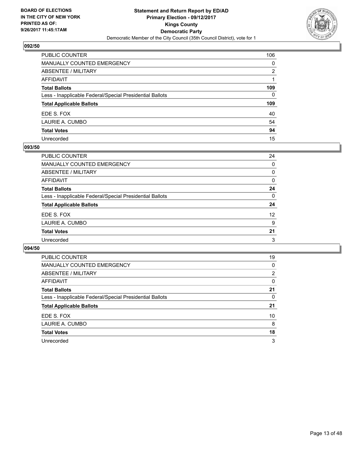

| PUBLIC COUNTER                                           | 106          |
|----------------------------------------------------------|--------------|
| <b>MANUALLY COUNTED EMERGENCY</b>                        | $\mathbf{0}$ |
| ABSENTEE / MILITARY                                      | 2            |
| AFFIDAVIT                                                |              |
| <b>Total Ballots</b>                                     | 109          |
| Less - Inapplicable Federal/Special Presidential Ballots | $\mathbf{0}$ |
| <b>Total Applicable Ballots</b>                          | 109          |
| EDE S. FOX                                               | 40           |
| LAURIE A. CUMBO                                          | 54           |
| <b>Total Votes</b>                                       | 94           |
| Unrecorded                                               | 15           |

#### **093/50**

| <b>PUBLIC COUNTER</b>                                    | 24 |
|----------------------------------------------------------|----|
| <b>MANUALLY COUNTED EMERGENCY</b>                        | 0  |
| ABSENTEE / MILITARY                                      | 0  |
| AFFIDAVIT                                                | 0  |
| <b>Total Ballots</b>                                     | 24 |
| Less - Inapplicable Federal/Special Presidential Ballots | 0  |
| <b>Total Applicable Ballots</b>                          | 24 |
| EDE S. FOX                                               | 12 |
| LAURIE A. CUMBO                                          | 9  |
| <b>Total Votes</b>                                       | 21 |
| Unrecorded                                               | 3  |
|                                                          |    |

| <b>PUBLIC COUNTER</b>                                    | 19 |
|----------------------------------------------------------|----|
| <b>MANUALLY COUNTED EMERGENCY</b>                        | 0  |
| ABSENTEE / MILITARY                                      | 2  |
| AFFIDAVIT                                                | 0  |
| <b>Total Ballots</b>                                     | 21 |
| Less - Inapplicable Federal/Special Presidential Ballots | 0  |
| <b>Total Applicable Ballots</b>                          | 21 |
| EDE S. FOX                                               | 10 |
| LAURIE A. CUMBO                                          | 8  |
| <b>Total Votes</b>                                       | 18 |
| Unrecorded                                               | 3  |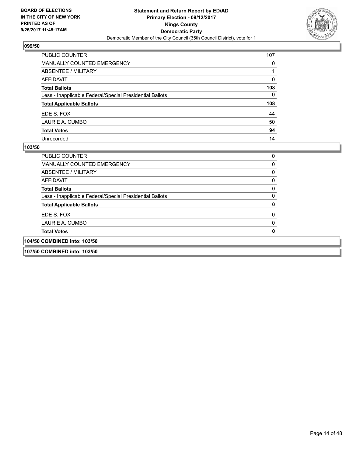

| PUBLIC COUNTER                                           | 107 |
|----------------------------------------------------------|-----|
| <b>MANUALLY COUNTED EMERGENCY</b>                        | 0   |
| ABSENTEE / MILITARY                                      |     |
| <b>AFFIDAVIT</b>                                         | 0   |
| <b>Total Ballots</b>                                     | 108 |
| Less - Inapplicable Federal/Special Presidential Ballots | 0   |
| <b>Total Applicable Ballots</b>                          | 108 |
| EDE S. FOX                                               | 44  |
| LAURIE A. CUMBO                                          | 50  |
| <b>Total Votes</b>                                       | 94  |
| Unrecorded                                               | 14  |

| <b>PUBLIC COUNTER</b>                                    |  |
|----------------------------------------------------------|--|
| MANUALLY COUNTED EMERGENCY                               |  |
| ABSENTEE / MILITARY                                      |  |
| AFFIDAVIT                                                |  |
| <b>Total Ballots</b>                                     |  |
| Less - Inapplicable Federal/Special Presidential Ballots |  |
| <b>Total Applicable Ballots</b>                          |  |
| EDE S. FOX                                               |  |
| LAURIE A. CUMBO                                          |  |
| <b>Total Votes</b>                                       |  |
| 104/50 COMBINED into: 103/50                             |  |
| 107/50 COMBINED into: 103/50                             |  |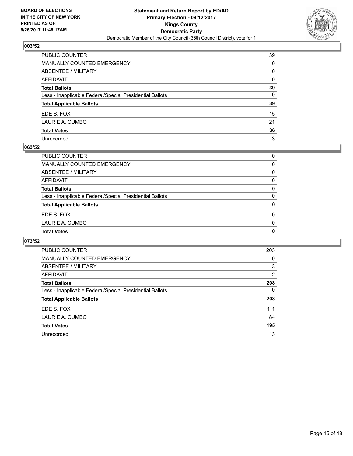

| PUBLIC COUNTER                                           | 39           |
|----------------------------------------------------------|--------------|
| MANUALLY COUNTED EMERGENCY                               | 0            |
| ABSENTEE / MILITARY                                      | 0            |
| AFFIDAVIT                                                | $\mathbf{0}$ |
| Total Ballots                                            | 39           |
| Less - Inapplicable Federal/Special Presidential Ballots | 0            |
| <b>Total Applicable Ballots</b>                          | 39           |
| EDE S. FOX                                               | 15           |
| LAURIE A. CUMBO                                          | 21           |
| <b>Total Votes</b>                                       | 36           |
| Unrecorded                                               | 3            |

#### **063/52**

| <b>Total Votes</b>                                       | 0        |
|----------------------------------------------------------|----------|
| LAURIE A. CUMBO                                          | $\Omega$ |
| EDE S. FOX                                               | $\Omega$ |
| <b>Total Applicable Ballots</b>                          | 0        |
| Less - Inapplicable Federal/Special Presidential Ballots | 0        |
| <b>Total Ballots</b>                                     | 0        |
| AFFIDAVIT                                                | 0        |
| ABSENTEE / MILITARY                                      | 0        |
| MANUALLY COUNTED EMERGENCY                               | 0        |
| PUBLIC COUNTER                                           | 0        |

| <b>PUBLIC COUNTER</b>                                    | 203 |
|----------------------------------------------------------|-----|
| <b>MANUALLY COUNTED EMERGENCY</b>                        | 0   |
| ABSENTEE / MILITARY                                      | 3   |
| AFFIDAVIT                                                | 2   |
| <b>Total Ballots</b>                                     | 208 |
| Less - Inapplicable Federal/Special Presidential Ballots | 0   |
| <b>Total Applicable Ballots</b>                          | 208 |
| EDE S. FOX                                               | 111 |
| LAURIE A. CUMBO                                          | 84  |
| <b>Total Votes</b>                                       | 195 |
| Unrecorded                                               | 13  |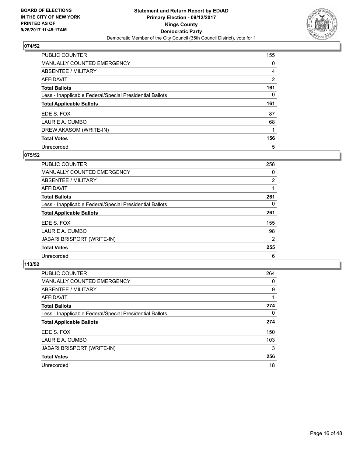

| <b>PUBLIC COUNTER</b>                                    | 155 |
|----------------------------------------------------------|-----|
| <b>MANUALLY COUNTED EMERGENCY</b>                        | 0   |
| ABSENTEE / MILITARY                                      | 4   |
| AFFIDAVIT                                                | 2   |
| <b>Total Ballots</b>                                     | 161 |
| Less - Inapplicable Federal/Special Presidential Ballots | 0   |
| <b>Total Applicable Ballots</b>                          | 161 |
| EDE S. FOX                                               | 87  |
| LAURIE A. CUMBO                                          | 68  |
| DREW AKASOM (WRITE-IN)                                   |     |
| <b>Total Votes</b>                                       | 156 |
| Unrecorded                                               | 5   |

#### **075/52**

| <b>PUBLIC COUNTER</b>                                    | 258 |
|----------------------------------------------------------|-----|
| <b>MANUALLY COUNTED EMERGENCY</b>                        | 0   |
| ABSENTEE / MILITARY                                      | 2   |
| <b>AFFIDAVIT</b>                                         |     |
| <b>Total Ballots</b>                                     | 261 |
| Less - Inapplicable Federal/Special Presidential Ballots | 0   |
| <b>Total Applicable Ballots</b>                          | 261 |
| EDE S. FOX                                               | 155 |
| LAURIE A. CUMBO                                          | 98  |
| <b>JABARI BRISPORT (WRITE-IN)</b>                        | 2   |
| <b>Total Votes</b>                                       | 255 |
| Unrecorded                                               | 6   |

| <b>PUBLIC COUNTER</b>                                    | 264 |
|----------------------------------------------------------|-----|
| <b>MANUALLY COUNTED EMERGENCY</b>                        | 0   |
| ABSENTEE / MILITARY                                      | 9   |
| <b>AFFIDAVIT</b>                                         |     |
| <b>Total Ballots</b>                                     | 274 |
| Less - Inapplicable Federal/Special Presidential Ballots | 0   |
| <b>Total Applicable Ballots</b>                          | 274 |
| EDE S. FOX                                               | 150 |
| LAURIE A. CUMBO                                          | 103 |
| JABARI BRISPORT (WRITE-IN)                               | 3   |
| <b>Total Votes</b>                                       | 256 |
| Unrecorded                                               | 18  |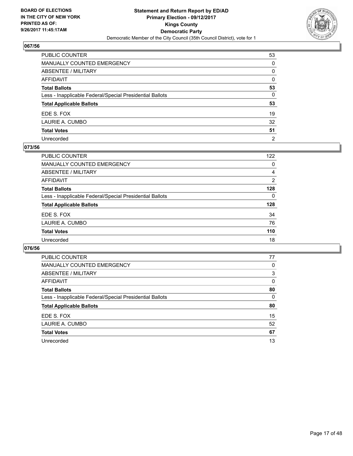

| PUBLIC COUNTER                                           | 53             |
|----------------------------------------------------------|----------------|
| MANUALLY COUNTED EMERGENCY                               | $\Omega$       |
| <b>ABSENTEE / MILITARY</b>                               | 0              |
| <b>AFFIDAVIT</b>                                         | $\Omega$       |
| <b>Total Ballots</b>                                     | 53             |
| Less - Inapplicable Federal/Special Presidential Ballots | 0              |
| <b>Total Applicable Ballots</b>                          | 53             |
| EDE S. FOX                                               | 19             |
| LAURIE A. CUMBO                                          | 32             |
| <b>Total Votes</b>                                       | 51             |
| Unrecorded                                               | $\overline{2}$ |

#### **073/56**

| PUBLIC COUNTER                                           | 122 |
|----------------------------------------------------------|-----|
| MANUALLY COUNTED EMERGENCY                               | 0   |
| ABSENTEE / MILITARY                                      | 4   |
| AFFIDAVIT                                                | 2   |
| <b>Total Ballots</b>                                     | 128 |
| Less - Inapplicable Federal/Special Presidential Ballots | 0   |
| <b>Total Applicable Ballots</b>                          | 128 |
| EDE S. FOX                                               | 34  |
| LAURIE A. CUMBO                                          | 76  |
| <b>Total Votes</b>                                       | 110 |
| Unrecorded                                               | 18  |

| <b>PUBLIC COUNTER</b>                                    | 77 |
|----------------------------------------------------------|----|
| <b>MANUALLY COUNTED EMERGENCY</b>                        | 0  |
| ABSENTEE / MILITARY                                      | 3  |
| <b>AFFIDAVIT</b>                                         | 0  |
| <b>Total Ballots</b>                                     | 80 |
| Less - Inapplicable Federal/Special Presidential Ballots | 0  |
| <b>Total Applicable Ballots</b>                          | 80 |
| EDE S. FOX                                               | 15 |
| LAURIE A. CUMBO                                          | 52 |
| <b>Total Votes</b>                                       | 67 |
| Unrecorded                                               | 13 |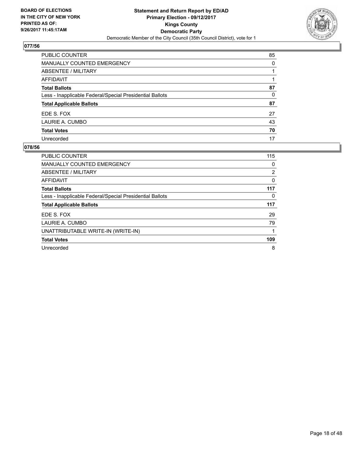

| PUBLIC COUNTER                                           | 85 |
|----------------------------------------------------------|----|
| <b>MANUALLY COUNTED EMERGENCY</b>                        | 0  |
| <b>ABSENTEE / MILITARY</b>                               |    |
| <b>AFFIDAVIT</b>                                         |    |
| <b>Total Ballots</b>                                     | 87 |
| Less - Inapplicable Federal/Special Presidential Ballots | 0  |
| <b>Total Applicable Ballots</b>                          | 87 |
| EDE S. FOX                                               | 27 |
| LAURIE A. CUMBO                                          | 43 |
| <b>Total Votes</b>                                       | 70 |
| Unrecorded                                               | 17 |

| PUBLIC COUNTER                                           | 115 |
|----------------------------------------------------------|-----|
| <b>MANUALLY COUNTED EMERGENCY</b>                        | 0   |
| ABSENTEE / MILITARY                                      | 2   |
| <b>AFFIDAVIT</b>                                         | 0   |
| <b>Total Ballots</b>                                     | 117 |
| Less - Inapplicable Federal/Special Presidential Ballots | 0   |
| <b>Total Applicable Ballots</b>                          | 117 |
| EDE S. FOX                                               | 29  |
| LAURIE A. CUMBO                                          | 79  |
| UNATTRIBUTABLE WRITE-IN (WRITE-IN)                       |     |
| <b>Total Votes</b>                                       | 109 |
| Unrecorded                                               | 8   |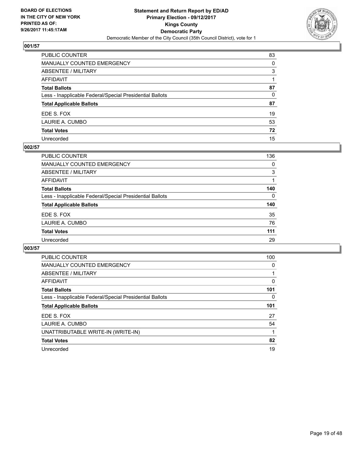

| PUBLIC COUNTER                                           | 83       |
|----------------------------------------------------------|----------|
| MANUALLY COUNTED EMERGENCY                               | $\Omega$ |
| ABSENTEE / MILITARY                                      | 3        |
| AFFIDAVIT                                                |          |
| Total Ballots                                            | 87       |
| Less - Inapplicable Federal/Special Presidential Ballots | $\Omega$ |
| <b>Total Applicable Ballots</b>                          | 87       |
| EDE S. FOX                                               | 19       |
| LAURIE A. CUMBO                                          | 53       |
| <b>Total Votes</b>                                       | 72       |
| Unrecorded                                               | 15       |

#### **002/57**

| PUBLIC COUNTER                                           | 136 |
|----------------------------------------------------------|-----|
| MANUALLY COUNTED EMERGENCY                               | 0   |
| ABSENTEE / MILITARY                                      | 3   |
| <b>AFFIDAVIT</b>                                         |     |
| <b>Total Ballots</b>                                     | 140 |
| Less - Inapplicable Federal/Special Presidential Ballots | 0   |
| <b>Total Applicable Ballots</b>                          | 140 |
| EDE S. FOX                                               | 35  |
| LAURIE A. CUMBO                                          | 76  |
| <b>Total Votes</b>                                       | 111 |
| Unrecorded                                               | 29  |

| <b>PUBLIC COUNTER</b>                                    | 100 |
|----------------------------------------------------------|-----|
| MANUALLY COUNTED EMERGENCY                               | 0   |
| ABSENTEE / MILITARY                                      |     |
| AFFIDAVIT                                                | 0   |
| <b>Total Ballots</b>                                     | 101 |
| Less - Inapplicable Federal/Special Presidential Ballots | 0   |
| <b>Total Applicable Ballots</b>                          | 101 |
| EDE S. FOX                                               | 27  |
| LAURIE A. CUMBO                                          | 54  |
| UNATTRIBUTABLE WRITE-IN (WRITE-IN)                       |     |
| <b>Total Votes</b>                                       | 82  |
| Unrecorded                                               | 19  |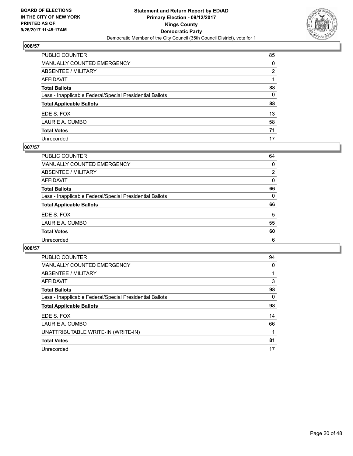

| PUBLIC COUNTER                                           | 85           |
|----------------------------------------------------------|--------------|
| MANUALLY COUNTED EMERGENCY                               | 0            |
| ABSENTEE / MILITARY                                      | 2            |
| AFFIDAVIT                                                |              |
| Total Ballots                                            | 88           |
| Less - Inapplicable Federal/Special Presidential Ballots | $\mathbf{0}$ |
| <b>Total Applicable Ballots</b>                          | 88           |
| EDE S. FOX                                               | 13           |
| LAURIE A. CUMBO                                          | 58           |
| <b>Total Votes</b>                                       | 71           |
| Unrecorded                                               | 17           |

## **007/57**

| PUBLIC COUNTER                                           | 64 |
|----------------------------------------------------------|----|
| MANUALLY COUNTED EMERGENCY                               | 0  |
| ABSENTEE / MILITARY                                      | 2  |
| AFFIDAVIT                                                | 0  |
| <b>Total Ballots</b>                                     | 66 |
| Less - Inapplicable Federal/Special Presidential Ballots | 0  |
| <b>Total Applicable Ballots</b>                          | 66 |
| EDE S. FOX                                               | 5  |
| LAURIE A. CUMBO                                          | 55 |
| <b>Total Votes</b>                                       | 60 |
| Unrecorded                                               | 6  |

| <b>PUBLIC COUNTER</b>                                    | 94 |
|----------------------------------------------------------|----|
| <b>MANUALLY COUNTED EMERGENCY</b>                        | 0  |
| ABSENTEE / MILITARY                                      |    |
| AFFIDAVIT                                                | 3  |
| <b>Total Ballots</b>                                     | 98 |
| Less - Inapplicable Federal/Special Presidential Ballots | 0  |
| <b>Total Applicable Ballots</b>                          | 98 |
| EDE S. FOX                                               | 14 |
| LAURIE A. CUMBO                                          | 66 |
| UNATTRIBUTABLE WRITE-IN (WRITE-IN)                       |    |
| <b>Total Votes</b>                                       | 81 |
| Unrecorded                                               | 17 |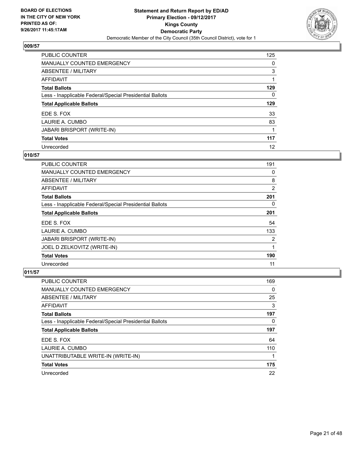

| PUBLIC COUNTER                                           | 125 |
|----------------------------------------------------------|-----|
| <b>MANUALLY COUNTED EMERGENCY</b>                        | 0   |
| ABSENTEE / MILITARY                                      | 3   |
| AFFIDAVIT                                                |     |
| <b>Total Ballots</b>                                     | 129 |
| Less - Inapplicable Federal/Special Presidential Ballots | 0   |
| <b>Total Applicable Ballots</b>                          | 129 |
| EDE S. FOX                                               | 33  |
| LAURIE A. CUMBO                                          | 83  |
| <b>JABARI BRISPORT (WRITE-IN)</b>                        |     |
| <b>Total Votes</b>                                       | 117 |
| Unrecorded                                               | 12  |

### **010/57**

| PUBLIC COUNTER                                           | 191            |
|----------------------------------------------------------|----------------|
| <b>MANUALLY COUNTED EMERGENCY</b>                        | 0              |
| ABSENTEE / MILITARY                                      | 8              |
| <b>AFFIDAVIT</b>                                         | $\overline{2}$ |
| <b>Total Ballots</b>                                     | 201            |
| Less - Inapplicable Federal/Special Presidential Ballots | 0              |
| <b>Total Applicable Ballots</b>                          | 201            |
| EDE S. FOX                                               | 54             |
| LAURIE A. CUMBO                                          | 133            |
| <b>JABARI BRISPORT (WRITE-IN)</b>                        | 2              |
| JOEL D ZELKOVITZ (WRITE-IN)                              | 1              |
| <b>Total Votes</b>                                       | 190            |
| Unrecorded                                               | 11             |

| <b>PUBLIC COUNTER</b>                                    | 169 |
|----------------------------------------------------------|-----|
| <b>MANUALLY COUNTED EMERGENCY</b>                        | 0   |
| ABSENTEE / MILITARY                                      | 25  |
| AFFIDAVIT                                                | 3   |
| <b>Total Ballots</b>                                     | 197 |
| Less - Inapplicable Federal/Special Presidential Ballots | 0   |
| <b>Total Applicable Ballots</b>                          | 197 |
| EDE S. FOX                                               | 64  |
| LAURIE A. CUMBO                                          | 110 |
| UNATTRIBUTABLE WRITE-IN (WRITE-IN)                       |     |
| <b>Total Votes</b>                                       | 175 |
| Unrecorded                                               | 22  |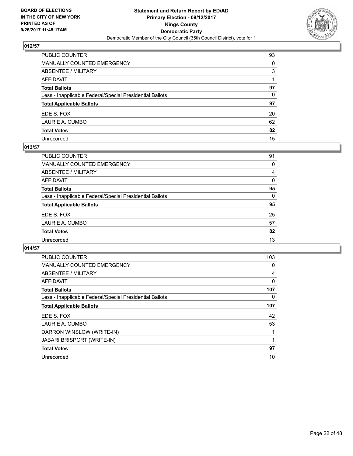

| PUBLIC COUNTER                                           | 93       |
|----------------------------------------------------------|----------|
| MANUALLY COUNTED EMERGENCY                               | $\Omega$ |
| ABSENTEE / MILITARY                                      | 3        |
| AFFIDAVIT                                                |          |
| Total Ballots                                            | 97       |
| Less - Inapplicable Federal/Special Presidential Ballots | $\Omega$ |
| <b>Total Applicable Ballots</b>                          | 97       |
| EDE S. FOX                                               | 20       |
| LAURIE A. CUMBO                                          | 62       |
| <b>Total Votes</b>                                       | 82       |
| Unrecorded                                               | 15       |

#### **013/57**

| <b>PUBLIC COUNTER</b>                                    | 91 |
|----------------------------------------------------------|----|
| MANUALLY COUNTED EMERGENCY                               | 0  |
| ABSENTEE / MILITARY                                      | 4  |
| AFFIDAVIT                                                | 0  |
| <b>Total Ballots</b>                                     | 95 |
| Less - Inapplicable Federal/Special Presidential Ballots | 0  |
| <b>Total Applicable Ballots</b>                          | 95 |
| EDE S. FOX                                               | 25 |
| LAURIE A. CUMBO                                          | 57 |
| <b>Total Votes</b>                                       | 82 |
| Unrecorded                                               | 13 |
|                                                          |    |

| <b>PUBLIC COUNTER</b>                                    | 103 |
|----------------------------------------------------------|-----|
| <b>MANUALLY COUNTED EMERGENCY</b>                        | 0   |
| ABSENTEE / MILITARY                                      | 4   |
| AFFIDAVIT                                                | 0   |
| <b>Total Ballots</b>                                     | 107 |
| Less - Inapplicable Federal/Special Presidential Ballots | 0   |
| <b>Total Applicable Ballots</b>                          | 107 |
| EDE S. FOX                                               | 42  |
| LAURIE A. CUMBO                                          | 53  |
| DARRON WINSLOW (WRITE-IN)                                |     |
| <b>JABARI BRISPORT (WRITE-IN)</b>                        |     |
| <b>Total Votes</b>                                       | 97  |
| Unrecorded                                               | 10  |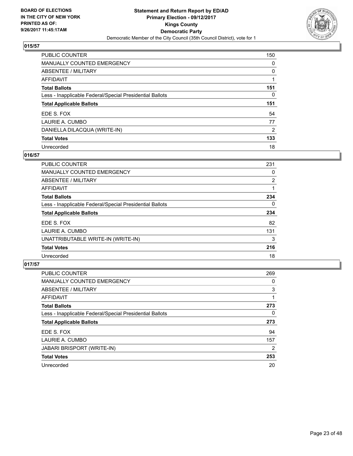

| <b>PUBLIC COUNTER</b>                                    | 150 |
|----------------------------------------------------------|-----|
| <b>MANUALLY COUNTED EMERGENCY</b>                        | 0   |
| ABSENTEE / MILITARY                                      | 0   |
| AFFIDAVIT                                                |     |
| <b>Total Ballots</b>                                     | 151 |
| Less - Inapplicable Federal/Special Presidential Ballots | 0   |
| <b>Total Applicable Ballots</b>                          | 151 |
| EDE S. FOX                                               | 54  |
| LAURIE A. CUMBO                                          | 77  |
| DANIELLA DILACQUA (WRITE-IN)                             | 2   |
| <b>Total Votes</b>                                       | 133 |
| Unrecorded                                               | 18  |

## **016/57**

| <b>PUBLIC COUNTER</b>                                    | 231            |
|----------------------------------------------------------|----------------|
| <b>MANUALLY COUNTED EMERGENCY</b>                        | 0              |
| ABSENTEE / MILITARY                                      | $\overline{2}$ |
| AFFIDAVIT                                                |                |
| <b>Total Ballots</b>                                     | 234            |
| Less - Inapplicable Federal/Special Presidential Ballots | $\Omega$       |
| <b>Total Applicable Ballots</b>                          | 234            |
| EDE S. FOX                                               | 82             |
| LAURIE A. CUMBO                                          | 131            |
| UNATTRIBUTABLE WRITE-IN (WRITE-IN)                       | 3              |
| <b>Total Votes</b>                                       | 216            |
| Unrecorded                                               | 18             |

| <b>PUBLIC COUNTER</b>                                    | 269 |
|----------------------------------------------------------|-----|
| <b>MANUALLY COUNTED EMERGENCY</b>                        | 0   |
| ABSENTEE / MILITARY                                      | 3   |
| AFFIDAVIT                                                |     |
| <b>Total Ballots</b>                                     | 273 |
| Less - Inapplicable Federal/Special Presidential Ballots | 0   |
| <b>Total Applicable Ballots</b>                          | 273 |
| EDE S. FOX                                               | 94  |
| LAURIE A. CUMBO                                          | 157 |
| <b>JABARI BRISPORT (WRITE-IN)</b>                        | 2   |
| <b>Total Votes</b>                                       | 253 |
| Unrecorded                                               | 20  |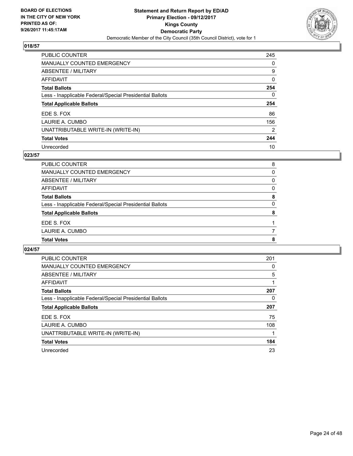

| PUBLIC COUNTER                                           | 245            |
|----------------------------------------------------------|----------------|
| <b>MANUALLY COUNTED EMERGENCY</b>                        | 0              |
| ABSENTEE / MILITARY                                      | 9              |
| AFFIDAVIT                                                | 0              |
| <b>Total Ballots</b>                                     | 254            |
| Less - Inapplicable Federal/Special Presidential Ballots | 0              |
| <b>Total Applicable Ballots</b>                          | 254            |
| EDE S. FOX                                               | 86             |
| LAURIE A. CUMBO                                          | 156            |
| UNATTRIBUTABLE WRITE-IN (WRITE-IN)                       | $\overline{2}$ |
| <b>Total Votes</b>                                       | 244            |
| Unrecorded                                               | 10             |

## **023/57**

| PUBLIC COUNTER                                           | 8 |
|----------------------------------------------------------|---|
| MANUALLY COUNTED EMERGENCY                               | 0 |
| ABSENTEE / MILITARY                                      | 0 |
| AFFIDAVIT                                                | 0 |
| <b>Total Ballots</b>                                     | 8 |
| Less - Inapplicable Federal/Special Presidential Ballots | 0 |
| <b>Total Applicable Ballots</b>                          | 8 |
| EDE S. FOX                                               |   |
| LAURIE A. CUMBO                                          |   |
| <b>Total Votes</b>                                       | 8 |
|                                                          |   |

| <b>PUBLIC COUNTER</b>                                    | 201 |
|----------------------------------------------------------|-----|
| <b>MANUALLY COUNTED EMERGENCY</b>                        | 0   |
| ABSENTEE / MILITARY                                      | 5   |
| AFFIDAVIT                                                | 1   |
| <b>Total Ballots</b>                                     | 207 |
| Less - Inapplicable Federal/Special Presidential Ballots | 0   |
| <b>Total Applicable Ballots</b>                          | 207 |
| EDE S. FOX                                               | 75  |
| LAURIE A. CUMBO                                          | 108 |
| UNATTRIBUTABLE WRITE-IN (WRITE-IN)                       |     |
| <b>Total Votes</b>                                       | 184 |
| Unrecorded                                               | 23  |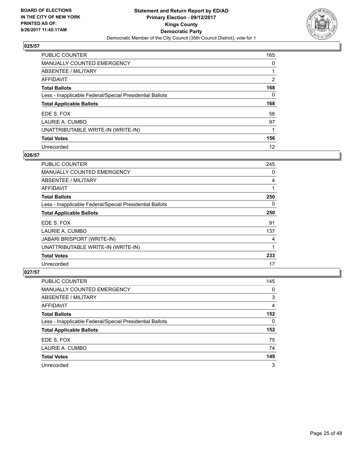

| PUBLIC COUNTER                                           | 165            |
|----------------------------------------------------------|----------------|
| <b>MANUALLY COUNTED EMERGENCY</b>                        | 0              |
| ABSENTEE / MILITARY                                      |                |
| AFFIDAVIT                                                | $\overline{2}$ |
| <b>Total Ballots</b>                                     | 168            |
| Less - Inapplicable Federal/Special Presidential Ballots | 0              |
| <b>Total Applicable Ballots</b>                          | 168            |
| EDE S. FOX                                               | 58             |
| LAURIE A. CUMBO                                          | 97             |
| UNATTRIBUTABLE WRITE-IN (WRITE-IN)                       |                |
| <b>Total Votes</b>                                       | 156            |
| Unrecorded                                               | 12             |

#### **026/57**

| <b>PUBLIC COUNTER</b>                                    | 245      |
|----------------------------------------------------------|----------|
| <b>MANUALLY COUNTED EMERGENCY</b>                        | 0        |
| ABSENTEE / MILITARY                                      | 4        |
| AFFIDAVIT                                                |          |
| <b>Total Ballots</b>                                     | 250      |
| Less - Inapplicable Federal/Special Presidential Ballots | $\Omega$ |
| <b>Total Applicable Ballots</b>                          | 250      |
| EDE S. FOX                                               | 91       |
| LAURIE A. CUMBO                                          | 137      |
| <b>JABARI BRISPORT (WRITE-IN)</b>                        | 4        |
| UNATTRIBUTABLE WRITE-IN (WRITE-IN)                       | 1        |
| <b>Total Votes</b>                                       | 233      |
| Unrecorded                                               | 17       |

| <b>PUBLIC COUNTER</b>                                    | 145      |
|----------------------------------------------------------|----------|
| MANUALLY COUNTED EMERGENCY                               | 0        |
| ABSENTEE / MILITARY                                      | 3        |
| AFFIDAVIT                                                | 4        |
| <b>Total Ballots</b>                                     | 152      |
| Less - Inapplicable Federal/Special Presidential Ballots | $\Omega$ |
| <b>Total Applicable Ballots</b>                          | 152      |
| EDE S. FOX                                               | 75       |
| LAURIE A. CUMBO                                          | 74       |
| <b>Total Votes</b>                                       | 149      |
| Unrecorded                                               | 3        |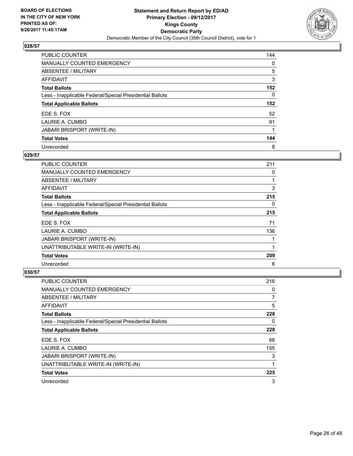

| PUBLIC COUNTER                                           | 144 |
|----------------------------------------------------------|-----|
| <b>MANUALLY COUNTED EMERGENCY</b>                        | 0   |
| ABSENTEE / MILITARY                                      | 5   |
| AFFIDAVIT                                                | 3   |
| <b>Total Ballots</b>                                     | 152 |
| Less - Inapplicable Federal/Special Presidential Ballots | 0   |
| <b>Total Applicable Ballots</b>                          | 152 |
| EDE S. FOX                                               | 52  |
| LAURIE A. CUMBO                                          | 91  |
| <b>JABARI BRISPORT (WRITE-IN)</b>                        |     |
| <b>Total Votes</b>                                       | 144 |
| Unrecorded                                               | 8   |

### **029/57**

| <b>PUBLIC COUNTER</b>                                    | 211 |
|----------------------------------------------------------|-----|
| MANUALLY COUNTED EMERGENCY                               | 0   |
| ABSENTEE / MILITARY                                      |     |
| AFFIDAVIT                                                | 3   |
| <b>Total Ballots</b>                                     | 215 |
| Less - Inapplicable Federal/Special Presidential Ballots | 0   |
| <b>Total Applicable Ballots</b>                          | 215 |
| EDE S. FOX                                               | 71  |
| LAURIE A. CUMBO                                          | 136 |
| <b>JABARI BRISPORT (WRITE-IN)</b>                        |     |
| UNATTRIBUTABLE WRITE-IN (WRITE-IN)                       |     |
| <b>Total Votes</b>                                       | 209 |
| Unrecorded                                               | 6   |

| <b>PUBLIC COUNTER</b>                                    | 216 |
|----------------------------------------------------------|-----|
| <b>MANUALLY COUNTED EMERGENCY</b>                        | 0   |
| ABSENTEE / MILITARY                                      | 7   |
| AFFIDAVIT                                                | 5   |
| <b>Total Ballots</b>                                     | 228 |
| Less - Inapplicable Federal/Special Presidential Ballots | 0   |
| <b>Total Applicable Ballots</b>                          | 228 |
| EDE S. FOX                                               | 66  |
| LAURIE A. CUMBO                                          | 155 |
| <b>JABARI BRISPORT (WRITE-IN)</b>                        | 3   |
| UNATTRIBUTABLE WRITE-IN (WRITE-IN)                       | 1   |
| <b>Total Votes</b>                                       | 225 |
| Unrecorded                                               | 3   |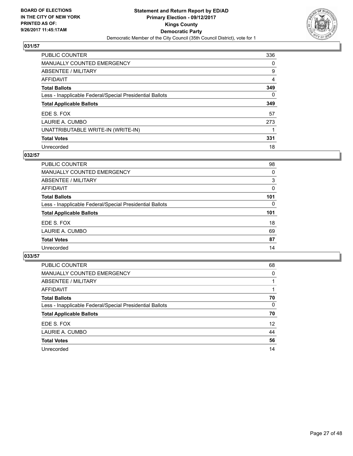

| PUBLIC COUNTER                                           | 336 |
|----------------------------------------------------------|-----|
| <b>MANUALLY COUNTED EMERGENCY</b>                        | 0   |
| ABSENTEE / MILITARY                                      | 9   |
| AFFIDAVIT                                                | 4   |
| <b>Total Ballots</b>                                     | 349 |
| Less - Inapplicable Federal/Special Presidential Ballots | 0   |
| <b>Total Applicable Ballots</b>                          | 349 |
| EDE S. FOX                                               | 57  |
| LAURIE A. CUMBO                                          | 273 |
| UNATTRIBUTABLE WRITE-IN (WRITE-IN)                       |     |
| <b>Total Votes</b>                                       | 331 |
| Unrecorded                                               | 18  |

## **032/57**

| <b>PUBLIC COUNTER</b>                                    | 98  |
|----------------------------------------------------------|-----|
| <b>MANUALLY COUNTED EMERGENCY</b>                        | 0   |
| ABSENTEE / MILITARY                                      | 3   |
| AFFIDAVIT                                                | 0   |
| <b>Total Ballots</b>                                     | 101 |
| Less - Inapplicable Federal/Special Presidential Ballots | 0   |
| <b>Total Applicable Ballots</b>                          | 101 |
| EDE S. FOX                                               | 18  |
| LAURIE A. CUMBO                                          | 69  |
| <b>Total Votes</b>                                       | 87  |
| Unrecorded                                               | 14  |

| <b>PUBLIC COUNTER</b>                                    | 68              |
|----------------------------------------------------------|-----------------|
| <b>MANUALLY COUNTED EMERGENCY</b>                        | 0               |
| ABSENTEE / MILITARY                                      |                 |
| AFFIDAVIT                                                |                 |
| <b>Total Ballots</b>                                     | 70              |
| Less - Inapplicable Federal/Special Presidential Ballots | 0               |
| <b>Total Applicable Ballots</b>                          | 70              |
| EDE S. FOX                                               | 12 <sup>2</sup> |
| LAURIE A. CUMBO                                          | 44              |
| <b>Total Votes</b>                                       | 56              |
| Unrecorded                                               | 14              |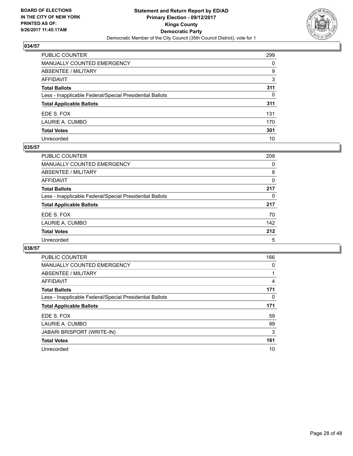

| PUBLIC COUNTER                                           | 299 |
|----------------------------------------------------------|-----|
| MANUALLY COUNTED EMERGENCY                               | 0   |
| ABSENTEE / MILITARY                                      | 9   |
| AFFIDAVIT                                                | 3   |
| Total Ballots                                            | 311 |
| Less - Inapplicable Federal/Special Presidential Ballots | 0   |
| <b>Total Applicable Ballots</b>                          | 311 |
| EDE S. FOX                                               | 131 |
| LAURIE A. CUMBO                                          | 170 |
| <b>Total Votes</b>                                       | 301 |
| Unrecorded                                               | 10  |

#### **035/57**

| PUBLIC COUNTER                                           | 209 |
|----------------------------------------------------------|-----|
| <b>MANUALLY COUNTED EMERGENCY</b>                        | 0   |
| ABSENTEE / MILITARY                                      | 8   |
| AFFIDAVIT                                                | 0   |
| <b>Total Ballots</b>                                     | 217 |
| Less - Inapplicable Federal/Special Presidential Ballots | 0   |
| <b>Total Applicable Ballots</b>                          | 217 |
| EDE S. FOX                                               | 70  |
| LAURIE A. CUMBO                                          | 142 |
| <b>Total Votes</b>                                       | 212 |
| Unrecorded                                               | 5   |

| <b>PUBLIC COUNTER</b>                                    | 166 |
|----------------------------------------------------------|-----|
| <b>MANUALLY COUNTED EMERGENCY</b>                        | 0   |
| <b>ABSENTEE / MILITARY</b>                               |     |
| <b>AFFIDAVIT</b>                                         | 4   |
| <b>Total Ballots</b>                                     | 171 |
| Less - Inapplicable Federal/Special Presidential Ballots | 0   |
| <b>Total Applicable Ballots</b>                          | 171 |
| EDE S. FOX                                               | 59  |
| LAURIE A. CUMBO                                          | 99  |
| JABARI BRISPORT (WRITE-IN)                               | 3   |
| <b>Total Votes</b>                                       | 161 |
| Unrecorded                                               | 10  |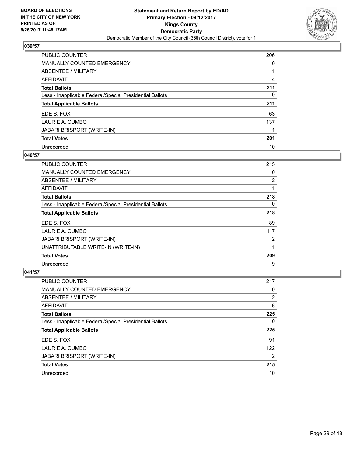

| PUBLIC COUNTER                                           | 206 |
|----------------------------------------------------------|-----|
| <b>MANUALLY COUNTED EMERGENCY</b>                        | 0   |
| ABSENTEE / MILITARY                                      |     |
| <b>AFFIDAVIT</b>                                         | 4   |
| <b>Total Ballots</b>                                     | 211 |
| Less - Inapplicable Federal/Special Presidential Ballots | 0   |
| <b>Total Applicable Ballots</b>                          | 211 |
| EDE S. FOX                                               | 63  |
| LAURIE A. CUMBO                                          | 137 |
| <b>JABARI BRISPORT (WRITE-IN)</b>                        |     |
| <b>Total Votes</b>                                       | 201 |
| Unrecorded                                               | 10  |

#### **040/57**

| PUBLIC COUNTER                                           | 215 |
|----------------------------------------------------------|-----|
| <b>MANUALLY COUNTED EMERGENCY</b>                        | 0   |
| ABSENTEE / MILITARY                                      | 2   |
| <b>AFFIDAVIT</b>                                         | 1   |
| <b>Total Ballots</b>                                     | 218 |
| Less - Inapplicable Federal/Special Presidential Ballots | 0   |
| <b>Total Applicable Ballots</b>                          | 218 |
| EDE S. FOX                                               | 89  |
| LAURIE A. CUMBO                                          | 117 |
| <b>JABARI BRISPORT (WRITE-IN)</b>                        | 2   |
| UNATTRIBUTABLE WRITE-IN (WRITE-IN)                       |     |
| <b>Total Votes</b>                                       | 209 |
| Unrecorded                                               | 9   |

| <b>PUBLIC COUNTER</b>                                    | 217            |
|----------------------------------------------------------|----------------|
| <b>MANUALLY COUNTED EMERGENCY</b>                        | 0              |
| ABSENTEE / MILITARY                                      | 2              |
| AFFIDAVIT                                                | 6              |
| <b>Total Ballots</b>                                     | 225            |
| Less - Inapplicable Federal/Special Presidential Ballots | 0              |
| <b>Total Applicable Ballots</b>                          | 225            |
| EDE S. FOX                                               | 91             |
| LAURIE A. CUMBO                                          | 122            |
| <b>JABARI BRISPORT (WRITE-IN)</b>                        | $\overline{2}$ |
| <b>Total Votes</b>                                       | 215            |
| Unrecorded                                               | 10             |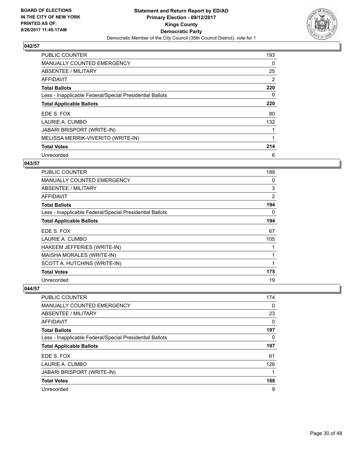

| <b>PUBLIC COUNTER</b>                                    | 193 |
|----------------------------------------------------------|-----|
| <b>MANUALLY COUNTED EMERGENCY</b>                        | 0   |
| ABSENTEE / MILITARY                                      | 25  |
| <b>AFFIDAVIT</b>                                         | 2   |
| <b>Total Ballots</b>                                     | 220 |
| Less - Inapplicable Federal/Special Presidential Ballots | 0   |
| <b>Total Applicable Ballots</b>                          | 220 |
| EDE S. FOX                                               | 80  |
| LAURIE A. CUMBO                                          | 132 |
| <b>JABARI BRISPORT (WRITE-IN)</b>                        |     |
| MELISSA MERRIK-VIVERITO (WRITE-IN)                       |     |
| <b>Total Votes</b>                                       | 214 |
| Unrecorded                                               | 6   |

## **043/57**

| PUBLIC COUNTER                                           | 189 |
|----------------------------------------------------------|-----|
| <b>MANUALLY COUNTED EMERGENCY</b>                        | 0   |
| <b>ABSENTEE / MILITARY</b>                               | 3   |
| <b>AFFIDAVIT</b>                                         | 2   |
| <b>Total Ballots</b>                                     | 194 |
| Less - Inapplicable Federal/Special Presidential Ballots | 0   |
| <b>Total Applicable Ballots</b>                          | 194 |
| EDE S. FOX                                               | 67  |
| LAURIE A. CUMBO                                          | 105 |
| HAKEEM JEFFERIES (WRITE-IN)                              |     |
| MAISHA MORALES (WRITE-IN)                                | 1   |
| SCOTT A. HUTCHINS (WRITE-IN)                             | 1   |
| <b>Total Votes</b>                                       | 175 |
| Unrecorded                                               | 19  |

| <b>PUBLIC COUNTER</b>                                    | 174 |
|----------------------------------------------------------|-----|
| <b>MANUALLY COUNTED EMERGENCY</b>                        | 0   |
| ABSENTEE / MILITARY                                      | 23  |
| AFFIDAVIT                                                | 0   |
| <b>Total Ballots</b>                                     | 197 |
| Less - Inapplicable Federal/Special Presidential Ballots | 0   |
| <b>Total Applicable Ballots</b>                          | 197 |
| EDE S. FOX                                               | 61  |
| LAURIE A. CUMBO                                          | 126 |
| <b>JABARI BRISPORT (WRITE-IN)</b>                        |     |
| <b>Total Votes</b>                                       | 188 |
| Unrecorded                                               | 9   |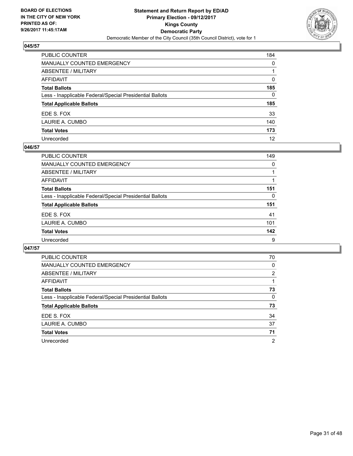

| PUBLIC COUNTER                                           | 184          |
|----------------------------------------------------------|--------------|
| <b>MANUALLY COUNTED EMERGENCY</b>                        | $\mathbf{0}$ |
| ABSENTEE / MILITARY                                      |              |
| <b>AFFIDAVIT</b>                                         | $\Omega$     |
| <b>Total Ballots</b>                                     | 185          |
| Less - Inapplicable Federal/Special Presidential Ballots | $\mathbf{0}$ |
| <b>Total Applicable Ballots</b>                          | 185          |
| EDE S. FOX                                               | 33           |
| LAURIE A. CUMBO                                          | 140          |
| <b>Total Votes</b>                                       | 173          |
| Unrecorded                                               | 12           |

## **046/57**

| PUBLIC COUNTER                                           | 149 |
|----------------------------------------------------------|-----|
| <b>MANUALLY COUNTED EMERGENCY</b>                        | 0   |
| ABSENTEE / MILITARY                                      |     |
| AFFIDAVIT                                                |     |
| <b>Total Ballots</b>                                     | 151 |
| Less - Inapplicable Federal/Special Presidential Ballots | 0   |
| <b>Total Applicable Ballots</b>                          | 151 |
| EDE S. FOX                                               | 41  |
| LAURIE A. CUMBO                                          | 101 |
| <b>Total Votes</b>                                       | 142 |
| Unrecorded                                               | 9   |

| <b>PUBLIC COUNTER</b>                                    | 70             |
|----------------------------------------------------------|----------------|
| <b>MANUALLY COUNTED EMERGENCY</b>                        | 0              |
| <b>ABSENTEE / MILITARY</b>                               | $\overline{2}$ |
| AFFIDAVIT                                                |                |
| <b>Total Ballots</b>                                     | 73             |
| Less - Inapplicable Federal/Special Presidential Ballots | 0              |
| <b>Total Applicable Ballots</b>                          | 73             |
| EDE S. FOX                                               | 34             |
| LAURIE A. CUMBO                                          | 37             |
| <b>Total Votes</b>                                       | 71             |
| Unrecorded                                               | $\overline{2}$ |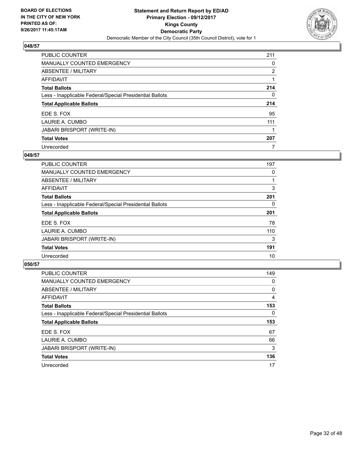

| <b>PUBLIC COUNTER</b>                                    | 211            |
|----------------------------------------------------------|----------------|
| <b>MANUALLY COUNTED EMERGENCY</b>                        | 0              |
| ABSENTEE / MILITARY                                      | $\overline{2}$ |
| AFFIDAVIT                                                |                |
| <b>Total Ballots</b>                                     | 214            |
| Less - Inapplicable Federal/Special Presidential Ballots | 0              |
| <b>Total Applicable Ballots</b>                          | 214            |
| EDE S. FOX                                               | 95             |
| LAURIE A. CUMBO                                          | 111            |
| <b>JABARI BRISPORT (WRITE-IN)</b>                        |                |
| <b>Total Votes</b>                                       | 207            |
| Unrecorded                                               | 7              |

### **049/57**

| PUBLIC COUNTER                                           | 197 |
|----------------------------------------------------------|-----|
| MANUALLY COUNTED EMERGENCY                               | 0   |
| ABSENTEE / MILITARY                                      |     |
| <b>AFFIDAVIT</b>                                         | 3   |
| <b>Total Ballots</b>                                     | 201 |
| Less - Inapplicable Federal/Special Presidential Ballots | 0   |
| <b>Total Applicable Ballots</b>                          | 201 |
| EDE S. FOX                                               | 78  |
| LAURIE A. CUMBO                                          | 110 |
| JABARI BRISPORT (WRITE-IN)                               | 3   |
| <b>Total Votes</b>                                       | 191 |
| Unrecorded                                               | 10  |

| <b>PUBLIC COUNTER</b>                                    | 149 |
|----------------------------------------------------------|-----|
| MANUALLY COUNTED EMERGENCY                               | 0   |
| ABSENTEE / MILITARY                                      | 0   |
| AFFIDAVIT                                                | 4   |
| <b>Total Ballots</b>                                     | 153 |
| Less - Inapplicable Federal/Special Presidential Ballots | 0   |
| <b>Total Applicable Ballots</b>                          | 153 |
|                                                          |     |
| EDE S. FOX                                               | 67  |
| LAURIE A. CUMBO                                          | 66  |
| <b>JABARI BRISPORT (WRITE-IN)</b>                        | 3   |
| <b>Total Votes</b>                                       | 136 |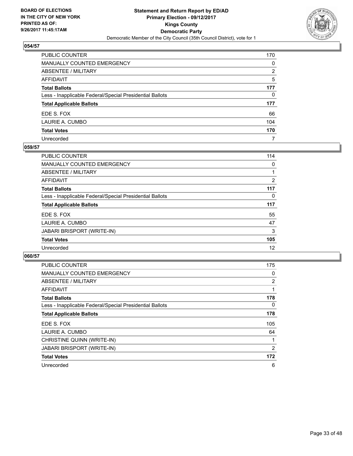

| PUBLIC COUNTER                                           | 170 |
|----------------------------------------------------------|-----|
| <b>MANUALLY COUNTED EMERGENCY</b>                        | 0   |
| <b>ABSENTEE / MILITARY</b>                               | 2   |
| <b>AFFIDAVIT</b>                                         | 5   |
| <b>Total Ballots</b>                                     | 177 |
| Less - Inapplicable Federal/Special Presidential Ballots | 0   |
| <b>Total Applicable Ballots</b>                          | 177 |
| EDE S. FOX                                               | 66  |
| LAURIE A. CUMBO                                          | 104 |
| <b>Total Votes</b>                                       | 170 |
| Unrecorded                                               | 7   |

#### **059/57**

| <b>PUBLIC COUNTER</b>                                    | 114            |
|----------------------------------------------------------|----------------|
| <b>MANUALLY COUNTED EMERGENCY</b>                        | 0              |
| ABSENTEE / MILITARY                                      |                |
| AFFIDAVIT                                                | $\overline{2}$ |
| <b>Total Ballots</b>                                     | 117            |
| Less - Inapplicable Federal/Special Presidential Ballots | 0              |
| <b>Total Applicable Ballots</b>                          | 117            |
| EDE S. FOX                                               | 55             |
| LAURIE A. CUMBO                                          | 47             |
| <b>JABARI BRISPORT (WRITE-IN)</b>                        | 3              |
| <b>Total Votes</b>                                       | 105            |
| Unrecorded                                               | 12             |

| <b>PUBLIC COUNTER</b>                                    | 175            |
|----------------------------------------------------------|----------------|
| <b>MANUALLY COUNTED EMERGENCY</b>                        | 0              |
| ABSENTEE / MILITARY                                      | $\overline{2}$ |
| <b>AFFIDAVIT</b>                                         |                |
| <b>Total Ballots</b>                                     | 178            |
| Less - Inapplicable Federal/Special Presidential Ballots | 0              |
| <b>Total Applicable Ballots</b>                          | 178            |
| EDE S. FOX                                               | 105            |
| LAURIE A. CUMBO                                          | 64             |
| CHRISTINE QUINN (WRITE-IN)                               |                |
| <b>JABARI BRISPORT (WRITE-IN)</b>                        | 2              |
| <b>Total Votes</b>                                       | 172            |
| Unrecorded                                               | 6              |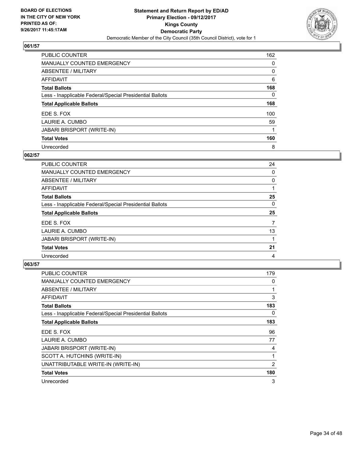

| PUBLIC COUNTER                                           | 162 |
|----------------------------------------------------------|-----|
| <b>MANUALLY COUNTED EMERGENCY</b>                        | 0   |
| ABSENTEE / MILITARY                                      | 0   |
| AFFIDAVIT                                                | 6   |
| <b>Total Ballots</b>                                     | 168 |
| Less - Inapplicable Federal/Special Presidential Ballots | 0   |
| <b>Total Applicable Ballots</b>                          | 168 |
| EDE S. FOX                                               | 100 |
| LAURIE A. CUMBO                                          | 59  |
| <b>JABARI BRISPORT (WRITE-IN)</b>                        |     |
| <b>Total Votes</b>                                       | 160 |
| Unrecorded                                               | 8   |

### **062/57**

| <b>PUBLIC COUNTER</b>                                    | 24 |
|----------------------------------------------------------|----|
| <b>MANUALLY COUNTED EMERGENCY</b>                        | 0  |
| ABSENTEE / MILITARY                                      | 0  |
| <b>AFFIDAVIT</b>                                         |    |
| <b>Total Ballots</b>                                     | 25 |
| Less - Inapplicable Federal/Special Presidential Ballots | 0  |
| <b>Total Applicable Ballots</b>                          | 25 |
| EDE S. FOX                                               | 7  |
| LAURIE A. CUMBO                                          | 13 |
| <b>JABARI BRISPORT (WRITE-IN)</b>                        |    |
| <b>Total Votes</b>                                       | 21 |
| Unrecorded                                               | 4  |

| <b>PUBLIC COUNTER</b>                                    | 179 |
|----------------------------------------------------------|-----|
| <b>MANUALLY COUNTED EMERGENCY</b>                        | 0   |
| <b>ABSENTEE / MILITARY</b>                               | 1   |
| AFFIDAVIT                                                | 3   |
| <b>Total Ballots</b>                                     | 183 |
| Less - Inapplicable Federal/Special Presidential Ballots | 0   |
| <b>Total Applicable Ballots</b>                          | 183 |
| EDE S. FOX                                               | 96  |
| LAURIE A. CUMBO                                          | 77  |
| JABARI BRISPORT (WRITE-IN)                               | 4   |
| SCOTT A. HUTCHINS (WRITE-IN)                             | 1   |
| UNATTRIBUTABLE WRITE-IN (WRITE-IN)                       | 2   |
| <b>Total Votes</b>                                       | 180 |
| Unrecorded                                               | 3   |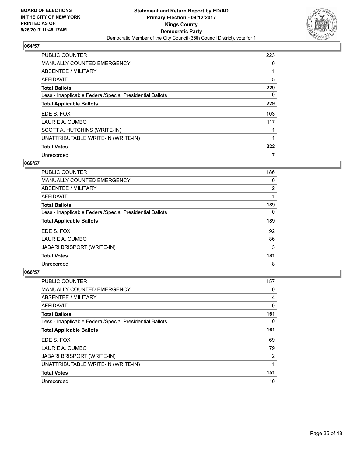

| <b>PUBLIC COUNTER</b>                                    | 223 |
|----------------------------------------------------------|-----|
| <b>MANUALLY COUNTED EMERGENCY</b>                        | 0   |
| ABSENTEE / MILITARY                                      | 1   |
| <b>AFFIDAVIT</b>                                         | 5   |
| <b>Total Ballots</b>                                     | 229 |
| Less - Inapplicable Federal/Special Presidential Ballots | 0   |
| <b>Total Applicable Ballots</b>                          | 229 |
| EDE S. FOX                                               | 103 |
| LAURIE A. CUMBO                                          | 117 |
| SCOTT A. HUTCHINS (WRITE-IN)                             |     |
| UNATTRIBUTABLE WRITE-IN (WRITE-IN)                       | 1   |
| <b>Total Votes</b>                                       | 222 |
| Unrecorded                                               | 7   |

#### **065/57**

| <b>PUBLIC COUNTER</b>                                    | 186 |
|----------------------------------------------------------|-----|
| <b>MANUALLY COUNTED EMERGENCY</b>                        | 0   |
| ABSENTEE / MILITARY                                      | 2   |
| AFFIDAVIT                                                |     |
| <b>Total Ballots</b>                                     | 189 |
| Less - Inapplicable Federal/Special Presidential Ballots | 0   |
| <b>Total Applicable Ballots</b>                          | 189 |
|                                                          |     |
| EDE S. FOX                                               | 92  |
| LAURIE A. CUMBO                                          | 86  |
| JABARI BRISPORT (WRITE-IN)                               | 3   |
| <b>Total Votes</b>                                       | 181 |

| PUBLIC COUNTER                                           | 157 |
|----------------------------------------------------------|-----|
| <b>MANUALLY COUNTED EMERGENCY</b>                        | 0   |
| ABSENTEE / MILITARY                                      | 4   |
| AFFIDAVIT                                                | 0   |
| <b>Total Ballots</b>                                     | 161 |
| Less - Inapplicable Federal/Special Presidential Ballots | 0   |
| <b>Total Applicable Ballots</b>                          | 161 |
| EDE S. FOX                                               | 69  |
| LAURIE A. CUMBO                                          | 79  |
| <b>JABARI BRISPORT (WRITE-IN)</b>                        | 2   |
| UNATTRIBUTABLE WRITE-IN (WRITE-IN)                       | 1   |
| <b>Total Votes</b>                                       | 151 |
| Unrecorded                                               | 10  |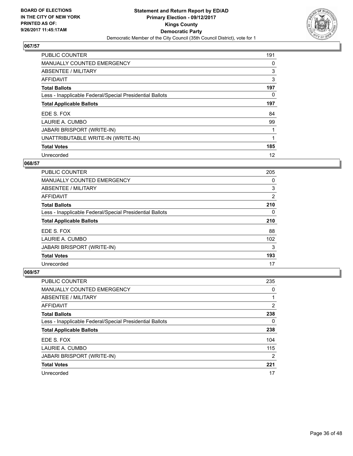

| <b>PUBLIC COUNTER</b>                                    | 191 |
|----------------------------------------------------------|-----|
| MANUALLY COUNTED EMERGENCY                               | 0   |
| ABSENTEE / MILITARY                                      | 3   |
| <b>AFFIDAVIT</b>                                         | 3   |
| <b>Total Ballots</b>                                     | 197 |
| Less - Inapplicable Federal/Special Presidential Ballots | 0   |
| <b>Total Applicable Ballots</b>                          | 197 |
| EDE S. FOX                                               | 84  |
| LAURIE A. CUMBO                                          | 99  |
| <b>JABARI BRISPORT (WRITE-IN)</b>                        |     |
| UNATTRIBUTABLE WRITE-IN (WRITE-IN)                       |     |
| <b>Total Votes</b>                                       | 185 |
| Unrecorded                                               | 12  |

## **068/57**

| <b>PUBLIC COUNTER</b>                                    | 205 |
|----------------------------------------------------------|-----|
| MANUALLY COUNTED EMERGENCY                               | 0   |
| ABSENTEE / MILITARY                                      | 3   |
| AFFIDAVIT                                                | 2   |
| <b>Total Ballots</b>                                     | 210 |
| Less - Inapplicable Federal/Special Presidential Ballots | 0   |
| <b>Total Applicable Ballots</b>                          | 210 |
| EDE S. FOX                                               | 88  |
| LAURIE A. CUMBO                                          | 102 |
| <b>JABARI BRISPORT (WRITE-IN)</b>                        | 3   |
| <b>Total Votes</b>                                       | 193 |
| Unrecorded                                               | 17  |

| <b>PUBLIC COUNTER</b>                                    | 235 |
|----------------------------------------------------------|-----|
| <b>MANUALLY COUNTED EMERGENCY</b>                        | 0   |
| ABSENTEE / MILITARY                                      |     |
| AFFIDAVIT                                                | 2   |
| <b>Total Ballots</b>                                     | 238 |
| Less - Inapplicable Federal/Special Presidential Ballots | 0   |
| <b>Total Applicable Ballots</b>                          | 238 |
| EDE S. FOX                                               | 104 |
| LAURIE A. CUMBO                                          | 115 |
| <b>JABARI BRISPORT (WRITE-IN)</b>                        | 2   |
| <b>Total Votes</b>                                       | 221 |
| Unrecorded                                               | 17  |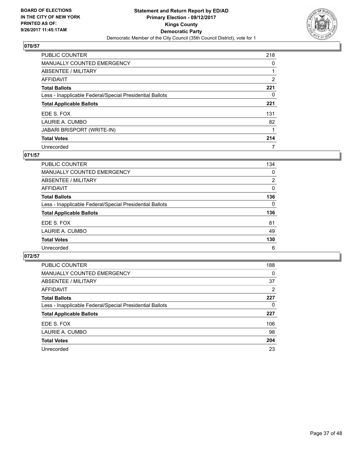

| <b>PUBLIC COUNTER</b>                                    | 218 |
|----------------------------------------------------------|-----|
| <b>MANUALLY COUNTED EMERGENCY</b>                        | 0   |
| ABSENTEE / MILITARY                                      |     |
| AFFIDAVIT                                                | 2   |
| <b>Total Ballots</b>                                     | 221 |
| Less - Inapplicable Federal/Special Presidential Ballots | 0   |
| <b>Total Applicable Ballots</b>                          | 221 |
| EDE S. FOX                                               | 131 |
| LAURIE A. CUMBO                                          | 82  |
| JABARI BRISPORT (WRITE-IN)                               |     |
| <b>Total Votes</b>                                       | 214 |
| Unrecorded                                               | 7   |

## **071/57**

| PUBLIC COUNTER                                           | 134            |
|----------------------------------------------------------|----------------|
| <b>MANUALLY COUNTED EMERGENCY</b>                        | 0              |
| ABSENTEE / MILITARY                                      | $\overline{2}$ |
| AFFIDAVIT                                                | $\Omega$       |
| <b>Total Ballots</b>                                     | 136            |
| Less - Inapplicable Federal/Special Presidential Ballots | $\Omega$       |
| <b>Total Applicable Ballots</b>                          | 136            |
| EDE S. FOX                                               | 81             |
| LAURIE A. CUMBO                                          | 49             |
| <b>Total Votes</b>                                       | 130            |
| Unrecorded                                               | 6              |

| <b>PUBLIC COUNTER</b>                                    | 188 |
|----------------------------------------------------------|-----|
| <b>MANUALLY COUNTED EMERGENCY</b>                        | 0   |
| ABSENTEE / MILITARY                                      | 37  |
| AFFIDAVIT                                                | 2   |
| <b>Total Ballots</b>                                     | 227 |
| Less - Inapplicable Federal/Special Presidential Ballots | 0   |
| <b>Total Applicable Ballots</b>                          | 227 |
| EDE S. FOX                                               | 106 |
| LAURIE A. CUMBO                                          | 98  |
| <b>Total Votes</b>                                       | 204 |
| Unrecorded                                               | 23  |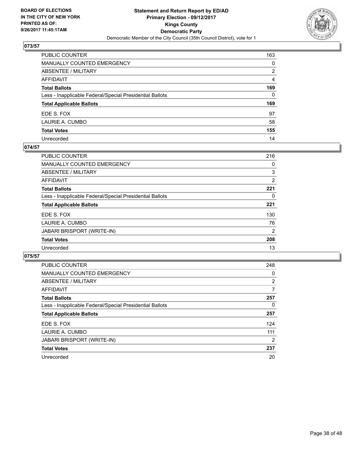

| PUBLIC COUNTER                                           | 163 |
|----------------------------------------------------------|-----|
| MANUALLY COUNTED EMERGENCY                               | 0   |
| ABSENTEE / MILITARY                                      | 2   |
| AFFIDAVIT                                                | 4   |
| Total Ballots                                            | 169 |
| Less - Inapplicable Federal/Special Presidential Ballots | 0   |
| <b>Total Applicable Ballots</b>                          | 169 |
| EDE S. FOX                                               | 97  |
| LAURIE A. CUMBO                                          | 58  |
| <b>Total Votes</b>                                       | 155 |
| Unrecorded                                               | 14  |

#### **074/57**

| <b>PUBLIC COUNTER</b>                                    | 216 |
|----------------------------------------------------------|-----|
| <b>MANUALLY COUNTED EMERGENCY</b>                        | 0   |
| ABSENTEE / MILITARY                                      | 3   |
| AFFIDAVIT                                                | 2   |
| <b>Total Ballots</b>                                     | 221 |
| Less - Inapplicable Federal/Special Presidential Ballots | 0   |
| <b>Total Applicable Ballots</b>                          | 221 |
| EDE S. FOX                                               | 130 |
| LAURIE A. CUMBO                                          | 76  |
| <b>JABARI BRISPORT (WRITE-IN)</b>                        | 2   |
| <b>Total Votes</b>                                       | 208 |
| Unrecorded                                               | 13  |

| <b>PUBLIC COUNTER</b>                                    | 248            |
|----------------------------------------------------------|----------------|
| <b>MANUALLY COUNTED EMERGENCY</b>                        | 0              |
| ABSENTEE / MILITARY                                      | $\overline{2}$ |
| AFFIDAVIT                                                | 7              |
| <b>Total Ballots</b>                                     | 257            |
| Less - Inapplicable Federal/Special Presidential Ballots | 0              |
| <b>Total Applicable Ballots</b>                          | 257            |
| EDE S. FOX                                               | 124            |
| LAURIE A. CUMBO                                          | 111            |
| JABARI BRISPORT (WRITE-IN)                               | $\overline{2}$ |
| <b>Total Votes</b>                                       | 237            |
| Unrecorded                                               | 20             |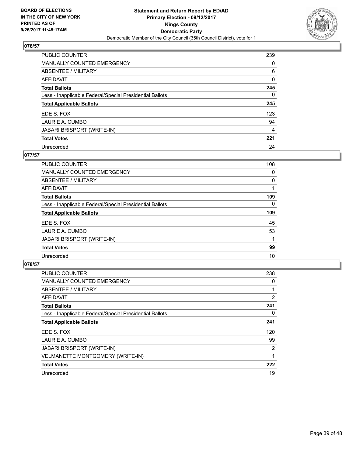

| PUBLIC COUNTER                                           | 239 |
|----------------------------------------------------------|-----|
| <b>MANUALLY COUNTED EMERGENCY</b>                        | 0   |
| ABSENTEE / MILITARY                                      | 6   |
| AFFIDAVIT                                                | 0   |
| <b>Total Ballots</b>                                     | 245 |
| Less - Inapplicable Federal/Special Presidential Ballots | 0   |
| <b>Total Applicable Ballots</b>                          | 245 |
| EDE S. FOX                                               | 123 |
| LAURIE A. CUMBO                                          | 94  |
| <b>JABARI BRISPORT (WRITE-IN)</b>                        | 4   |
| <b>Total Votes</b>                                       | 221 |
| Unrecorded                                               | 24  |

## **077/57**

| PUBLIC COUNTER                                           | 108 |
|----------------------------------------------------------|-----|
| MANUALLY COUNTED EMERGENCY                               | 0   |
| ABSENTEE / MILITARY                                      | 0   |
| <b>AFFIDAVIT</b>                                         |     |
| <b>Total Ballots</b>                                     | 109 |
| Less - Inapplicable Federal/Special Presidential Ballots | 0   |
| <b>Total Applicable Ballots</b>                          | 109 |
| EDE S. FOX                                               | 45  |
| LAURIE A. CUMBO                                          | 53  |
| JABARI BRISPORT (WRITE-IN)                               |     |
| <b>Total Votes</b>                                       | 99  |
| Unrecorded                                               | 10  |

| <b>PUBLIC COUNTER</b>                                    | 238            |
|----------------------------------------------------------|----------------|
| <b>MANUALLY COUNTED EMERGENCY</b>                        | 0              |
| ABSENTEE / MILITARY                                      |                |
| AFFIDAVIT                                                | $\overline{2}$ |
| <b>Total Ballots</b>                                     | 241            |
| Less - Inapplicable Federal/Special Presidential Ballots | 0              |
| <b>Total Applicable Ballots</b>                          | 241            |
| EDE S. FOX                                               | 120            |
| LAURIE A. CUMBO                                          | 99             |
| <b>JABARI BRISPORT (WRITE-IN)</b>                        | 2              |
| <b>VELMANETTE MONTGOMERY (WRITE-IN)</b>                  |                |
| <b>Total Votes</b>                                       | 222            |
| Unrecorded                                               | 19             |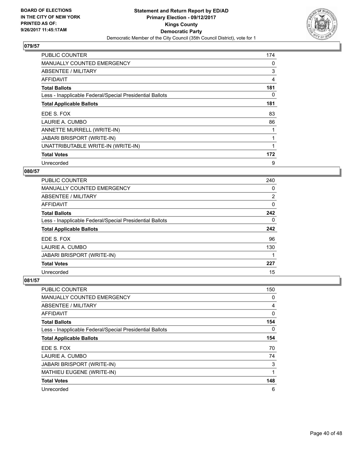

| <b>PUBLIC COUNTER</b>                                    | 174 |
|----------------------------------------------------------|-----|
| <b>MANUALLY COUNTED EMERGENCY</b>                        | 0   |
| ABSENTEE / MILITARY                                      | 3   |
| AFFIDAVIT                                                | 4   |
| <b>Total Ballots</b>                                     | 181 |
| Less - Inapplicable Federal/Special Presidential Ballots | 0   |
| <b>Total Applicable Ballots</b>                          | 181 |
| EDE S. FOX                                               | 83  |
| LAURIE A. CUMBO                                          | 86  |
| ANNETTE MURRELL (WRITE-IN)                               |     |
| <b>JABARI BRISPORT (WRITE-IN)</b>                        | 1   |
| UNATTRIBUTABLE WRITE-IN (WRITE-IN)                       |     |
| <b>Total Votes</b>                                       | 172 |
| Unrecorded                                               | 9   |

## **080/57**

| <b>PUBLIC COUNTER</b>                                    | 240 |
|----------------------------------------------------------|-----|
| <b>MANUALLY COUNTED EMERGENCY</b>                        | 0   |
| <b>ABSENTEE / MILITARY</b>                               | 2   |
| <b>AFFIDAVIT</b>                                         | 0   |
| <b>Total Ballots</b>                                     | 242 |
| Less - Inapplicable Federal/Special Presidential Ballots | 0   |
| <b>Total Applicable Ballots</b>                          | 242 |
| EDE S. FOX                                               | 96  |
| LAURIE A. CUMBO                                          | 130 |
| <b>JABARI BRISPORT (WRITE-IN)</b>                        |     |
| <b>Total Votes</b>                                       | 227 |
| Unrecorded                                               | 15  |

| PUBLIC COUNTER                                           | 150 |
|----------------------------------------------------------|-----|
| <b>MANUALLY COUNTED EMERGENCY</b>                        | 0   |
| ABSENTEE / MILITARY                                      | 4   |
| AFFIDAVIT                                                | 0   |
| <b>Total Ballots</b>                                     | 154 |
| Less - Inapplicable Federal/Special Presidential Ballots | 0   |
| <b>Total Applicable Ballots</b>                          | 154 |
| EDE S. FOX                                               | 70  |
| LAURIE A. CUMBO                                          | 74  |
| <b>JABARI BRISPORT (WRITE-IN)</b>                        | 3   |
| MATHIEU EUGENE (WRITE-IN)                                | 1   |
| <b>Total Votes</b>                                       | 148 |
| Unrecorded                                               | 6   |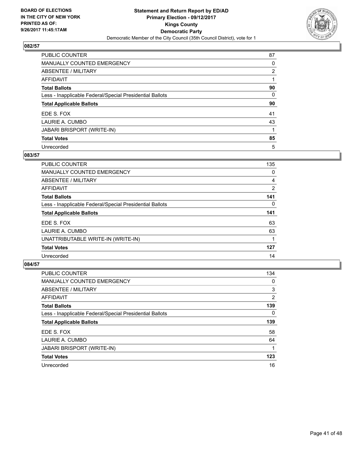

| PUBLIC COUNTER                                           | 87             |
|----------------------------------------------------------|----------------|
| MANUALLY COUNTED EMERGENCY                               | 0              |
| ABSENTEE / MILITARY                                      | $\overline{2}$ |
| <b>AFFIDAVIT</b>                                         |                |
| <b>Total Ballots</b>                                     | 90             |
| Less - Inapplicable Federal/Special Presidential Ballots | 0              |
| <b>Total Applicable Ballots</b>                          | 90             |
| EDE S. FOX                                               | 41             |
| LAURIE A. CUMBO                                          | 43             |
| <b>JABARI BRISPORT (WRITE-IN)</b>                        |                |
| <b>Total Votes</b>                                       | 85             |
| Unrecorded                                               | 5              |

### **083/57**

| <b>PUBLIC COUNTER</b>                                    | 135 |
|----------------------------------------------------------|-----|
| <b>MANUALLY COUNTED EMERGENCY</b>                        | 0   |
| ABSENTEE / MILITARY                                      | 4   |
| AFFIDAVIT                                                | 2   |
| <b>Total Ballots</b>                                     | 141 |
| Less - Inapplicable Federal/Special Presidential Ballots | 0   |
| <b>Total Applicable Ballots</b>                          | 141 |
| EDE S. FOX                                               | 63  |
| LAURIE A. CUMBO                                          | 63  |
| UNATTRIBUTABLE WRITE-IN (WRITE-IN)                       |     |
| <b>Total Votes</b>                                       | 127 |
| Unrecorded                                               | 14  |

| <b>PUBLIC COUNTER</b>                                    | 134            |
|----------------------------------------------------------|----------------|
| <b>MANUALLY COUNTED EMERGENCY</b>                        | 0              |
| ABSENTEE / MILITARY                                      | 3              |
| <b>AFFIDAVIT</b>                                         | $\overline{2}$ |
| <b>Total Ballots</b>                                     | 139            |
| Less - Inapplicable Federal/Special Presidential Ballots | 0              |
| <b>Total Applicable Ballots</b>                          | 139            |
| EDE S. FOX                                               | 58             |
| LAURIE A. CUMBO                                          | 64             |
| <b>JABARI BRISPORT (WRITE-IN)</b>                        |                |
| <b>Total Votes</b>                                       | 123            |
| Unrecorded                                               | 16             |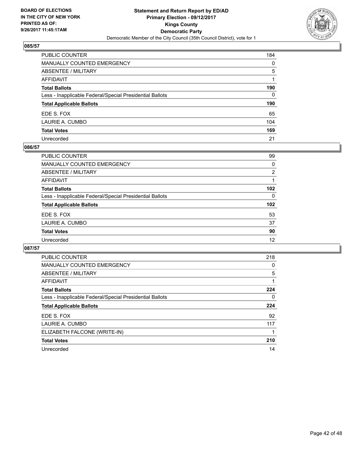

| PUBLIC COUNTER                                           | 184      |
|----------------------------------------------------------|----------|
| MANUALLY COUNTED EMERGENCY                               | 0        |
| ABSENTEE / MILITARY                                      | 5        |
| AFFIDAVIT                                                |          |
| Total Ballots                                            | 190      |
| Less - Inapplicable Federal/Special Presidential Ballots | $\Omega$ |
| <b>Total Applicable Ballots</b>                          | 190      |
| EDE S. FOX                                               | 65       |
| LAURIE A. CUMBO                                          | 104      |
| <b>Total Votes</b>                                       | 169      |
| Unrecorded                                               | 21       |

#### **086/57**

| PUBLIC COUNTER                                           | 99               |
|----------------------------------------------------------|------------------|
| <b>MANUALLY COUNTED EMERGENCY</b>                        | 0                |
| ABSENTEE / MILITARY                                      | $\overline{2}$   |
| AFFIDAVIT                                                |                  |
| <b>Total Ballots</b>                                     | 102              |
| Less - Inapplicable Federal/Special Presidential Ballots | 0                |
| <b>Total Applicable Ballots</b>                          | 102 <sub>2</sub> |
| EDE S. FOX                                               | 53               |
| LAURIE A. CUMBO                                          | 37               |
| <b>Total Votes</b>                                       | 90               |
| Unrecorded                                               | 12               |

| <b>PUBLIC COUNTER</b>                                    | 218 |
|----------------------------------------------------------|-----|
| <b>MANUALLY COUNTED EMERGENCY</b>                        | 0   |
| <b>ABSENTEE / MILITARY</b>                               | 5   |
| <b>AFFIDAVIT</b>                                         |     |
| <b>Total Ballots</b>                                     | 224 |
| Less - Inapplicable Federal/Special Presidential Ballots | 0   |
| <b>Total Applicable Ballots</b>                          | 224 |
| EDE S. FOX                                               | 92  |
| LAURIE A. CUMBO                                          | 117 |
| ELIZABETH FALCONE (WRITE-IN)                             |     |
| <b>Total Votes</b>                                       | 210 |
| Unrecorded                                               | 14  |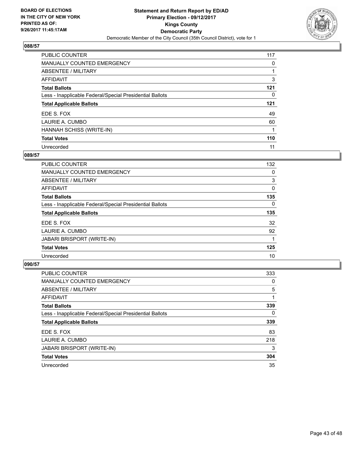

| PUBLIC COUNTER                                           | 117 |
|----------------------------------------------------------|-----|
| <b>MANUALLY COUNTED EMERGENCY</b>                        | 0   |
| ABSENTEE / MILITARY                                      |     |
| <b>AFFIDAVIT</b>                                         | 3   |
| <b>Total Ballots</b>                                     | 121 |
| Less - Inapplicable Federal/Special Presidential Ballots | 0   |
| <b>Total Applicable Ballots</b>                          | 121 |
| EDE S. FOX                                               | 49  |
| LAURIE A. CUMBO                                          | 60  |
| HANNAH SCHISS (WRITE-IN)                                 |     |
| <b>Total Votes</b>                                       | 110 |
| Unrecorded                                               | 11  |

#### **089/57**

| <b>PUBLIC COUNTER</b>                                    | 132      |
|----------------------------------------------------------|----------|
| <b>MANUALLY COUNTED EMERGENCY</b>                        | 0        |
| ABSENTEE / MILITARY                                      | 3        |
| AFFIDAVIT                                                | 0        |
| <b>Total Ballots</b>                                     | 135      |
| Less - Inapplicable Federal/Special Presidential Ballots | $\Omega$ |
| <b>Total Applicable Ballots</b>                          | 135      |
| EDE S. FOX                                               | 32       |
| LAURIE A. CUMBO                                          | 92       |
| JABARI BRISPORT (WRITE-IN)                               |          |
| <b>Total Votes</b>                                       | 125      |
| Unrecorded                                               | 10       |

| <b>PUBLIC COUNTER</b>                                    | 333 |
|----------------------------------------------------------|-----|
| <b>MANUALLY COUNTED EMERGENCY</b>                        | 0   |
| ABSENTEE / MILITARY                                      | 5   |
| <b>AFFIDAVIT</b>                                         |     |
| <b>Total Ballots</b>                                     | 339 |
| Less - Inapplicable Federal/Special Presidential Ballots | 0   |
| <b>Total Applicable Ballots</b>                          | 339 |
| EDE S. FOX                                               | 83  |
| LAURIE A. CUMBO                                          | 218 |
| JABARI BRISPORT (WRITE-IN)                               | 3   |
| <b>Total Votes</b>                                       | 304 |
| Unrecorded                                               | 35  |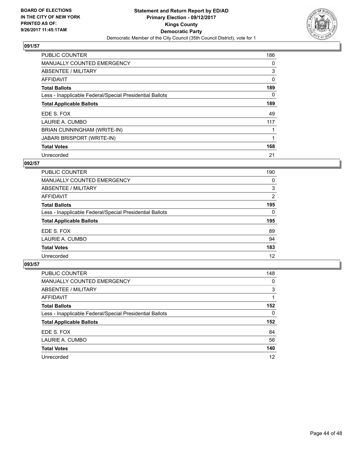

| <b>PUBLIC COUNTER</b>                                    | 186 |
|----------------------------------------------------------|-----|
| <b>MANUALLY COUNTED EMERGENCY</b>                        | 0   |
| ABSENTEE / MILITARY                                      | 3   |
| AFFIDAVIT                                                | 0   |
| <b>Total Ballots</b>                                     | 189 |
| Less - Inapplicable Federal/Special Presidential Ballots | 0   |
| <b>Total Applicable Ballots</b>                          | 189 |
| EDE S. FOX                                               | 49  |
| LAURIE A. CUMBO                                          | 117 |
| BRIAN CUNNINGHAM (WRITE-IN)                              |     |
| JABARI BRISPORT (WRITE-IN)                               |     |
| <b>Total Votes</b>                                       | 168 |
| Unrecorded                                               | 21  |

## **092/57**

| <b>PUBLIC COUNTER</b>                                    | 190 |
|----------------------------------------------------------|-----|
| <b>MANUALLY COUNTED EMERGENCY</b>                        | 0   |
| ABSENTEE / MILITARY                                      | 3   |
| <b>AFFIDAVIT</b>                                         | 2   |
| <b>Total Ballots</b>                                     | 195 |
| Less - Inapplicable Federal/Special Presidential Ballots | 0   |
| <b>Total Applicable Ballots</b>                          | 195 |
| EDE S. FOX                                               | 89  |
| LAURIE A. CUMBO                                          | 94  |
| <b>Total Votes</b>                                       | 183 |
| Unrecorded                                               | 12  |

| <b>PUBLIC COUNTER</b>                                    | 148 |
|----------------------------------------------------------|-----|
| <b>MANUALLY COUNTED EMERGENCY</b>                        | 0   |
| ABSENTEE / MILITARY                                      | 3   |
| AFFIDAVIT                                                |     |
| <b>Total Ballots</b>                                     | 152 |
| Less - Inapplicable Federal/Special Presidential Ballots | 0   |
| <b>Total Applicable Ballots</b>                          | 152 |
| EDE S. FOX                                               | 84  |
| LAURIE A. CUMBO                                          | 56  |
| <b>Total Votes</b>                                       | 140 |
| Unrecorded                                               | 12  |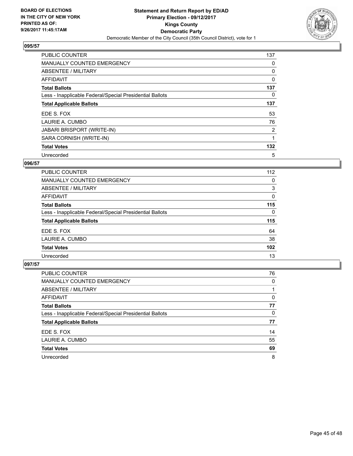

| <b>PUBLIC COUNTER</b>                                    | 137            |
|----------------------------------------------------------|----------------|
| <b>MANUALLY COUNTED EMERGENCY</b>                        | 0              |
| ABSENTEE / MILITARY                                      | 0              |
| AFFIDAVIT                                                | 0              |
| <b>Total Ballots</b>                                     | 137            |
| Less - Inapplicable Federal/Special Presidential Ballots | 0              |
| <b>Total Applicable Ballots</b>                          | 137            |
| EDE S. FOX                                               | 53             |
| LAURIE A. CUMBO                                          | 76             |
| <b>JABARI BRISPORT (WRITE-IN)</b>                        | $\overline{2}$ |
| SARA CORNISH (WRITE-IN)                                  |                |
| <b>Total Votes</b>                                       | 132            |
| Unrecorded                                               | 5              |

## **096/57**

| PUBLIC COUNTER                                           | 112 |
|----------------------------------------------------------|-----|
| <b>MANUALLY COUNTED EMERGENCY</b>                        | 0   |
| ABSENTEE / MILITARY                                      | 3   |
| <b>AFFIDAVIT</b>                                         | 0   |
| <b>Total Ballots</b>                                     | 115 |
| Less - Inapplicable Federal/Special Presidential Ballots | 0   |
| <b>Total Applicable Ballots</b>                          | 115 |
| EDE S. FOX                                               | 64  |
| LAURIE A. CUMBO                                          | 38  |
| <b>Total Votes</b>                                       | 102 |
| Unrecorded                                               | 13  |

| <b>PUBLIC COUNTER</b>                                    | 76 |
|----------------------------------------------------------|----|
| <b>MANUALLY COUNTED EMERGENCY</b>                        | 0  |
| ABSENTEE / MILITARY                                      |    |
| AFFIDAVIT                                                | 0  |
| <b>Total Ballots</b>                                     | 77 |
| Less - Inapplicable Federal/Special Presidential Ballots | 0  |
| <b>Total Applicable Ballots</b>                          | 77 |
| EDE S. FOX                                               | 14 |
| LAURIE A. CUMBO                                          | 55 |
| <b>Total Votes</b>                                       | 69 |
| Unrecorded                                               | 8  |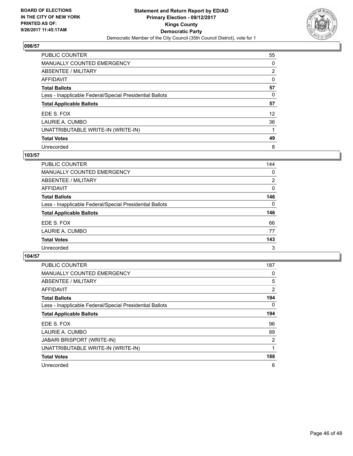

| <b>PUBLIC COUNTER</b>                                    | 55              |
|----------------------------------------------------------|-----------------|
| <b>MANUALLY COUNTED EMERGENCY</b>                        | 0               |
| <b>ABSENTEE / MILITARY</b>                               | $\overline{2}$  |
| <b>AFFIDAVIT</b>                                         | 0               |
| <b>Total Ballots</b>                                     | 57              |
| Less - Inapplicable Federal/Special Presidential Ballots | 0               |
| <b>Total Applicable Ballots</b>                          | 57              |
| EDE S. FOX                                               | 12 <sup>2</sup> |
| LAURIE A. CUMBO                                          | 36              |
| UNATTRIBUTABLE WRITE-IN (WRITE-IN)                       |                 |
| <b>Total Votes</b>                                       | 49              |
| Unrecorded                                               | 8               |

### **103/57**

| <b>PUBLIC COUNTER</b>                                    | 144      |
|----------------------------------------------------------|----------|
| <b>MANUALLY COUNTED EMERGENCY</b>                        | 0        |
| ABSENTEE / MILITARY                                      | 2        |
| AFFIDAVIT                                                | 0        |
| <b>Total Ballots</b>                                     | 146      |
| Less - Inapplicable Federal/Special Presidential Ballots | $\Omega$ |
| <b>Total Applicable Ballots</b>                          | 146      |
| EDE S. FOX                                               | 66       |
| LAURIE A. CUMBO                                          | 77       |
| <b>Total Votes</b>                                       | 143      |
| Unrecorded                                               | 3        |

| <b>PUBLIC COUNTER</b>                                    | 187 |
|----------------------------------------------------------|-----|
| <b>MANUALLY COUNTED EMERGENCY</b>                        | 0   |
| ABSENTEE / MILITARY                                      | 5   |
| AFFIDAVIT                                                | 2   |
| <b>Total Ballots</b>                                     | 194 |
| Less - Inapplicable Federal/Special Presidential Ballots | 0   |
| <b>Total Applicable Ballots</b>                          | 194 |
| EDE S. FOX                                               | 96  |
| LAURIE A. CUMBO                                          | 89  |
| <b>JABARI BRISPORT (WRITE-IN)</b>                        | 2   |
| UNATTRIBUTABLE WRITE-IN (WRITE-IN)                       |     |
| <b>Total Votes</b>                                       | 188 |
| Unrecorded                                               | 6   |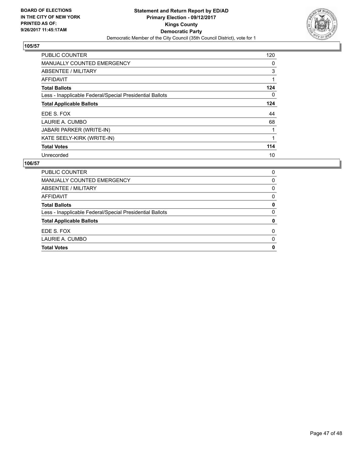

| <b>PUBLIC COUNTER</b>                                    | 120 |
|----------------------------------------------------------|-----|
| <b>MANUALLY COUNTED EMERGENCY</b>                        | 0   |
| ABSENTEE / MILITARY                                      | 3   |
| <b>AFFIDAVIT</b>                                         | 1   |
| <b>Total Ballots</b>                                     | 124 |
| Less - Inapplicable Federal/Special Presidential Ballots | 0   |
| <b>Total Applicable Ballots</b>                          | 124 |
| EDE S. FOX                                               | 44  |
| LAURIE A. CUMBO                                          | 68  |
| <b>JABARI PARKER (WRITE-IN)</b>                          | 1   |
| KATE SEELY-KIRK (WRITE-IN)                               | 1   |
| <b>Total Votes</b>                                       | 114 |
| Unrecorded                                               | 10  |

| <b>Total Votes</b>                                       | 0 |
|----------------------------------------------------------|---|
| LAURIE A. CUMBO                                          | 0 |
| EDE S. FOX                                               | 0 |
| <b>Total Applicable Ballots</b>                          | 0 |
| Less - Inapplicable Federal/Special Presidential Ballots | 0 |
| <b>Total Ballots</b>                                     | 0 |
| AFFIDAVIT                                                | 0 |
| ABSENTEE / MILITARY                                      | 0 |
| MANUALLY COUNTED EMERGENCY                               | 0 |
| PUBLIC COUNTER                                           | 0 |